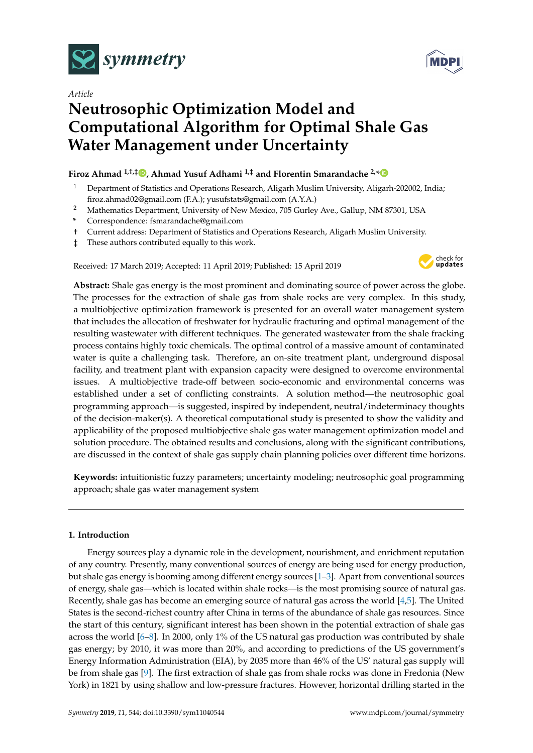

*Article*

# **Neutrosophic Optimization Model and Computational Algorithm for Optimal Shale Gas Water Management under Uncertainty**

## **Firoz Ahmad 1,†,‡ [,](https://orcid.org/0000-0002-9128-6555) Ahmad Yusuf Adhami 1,‡ and Florentin Smarandache 2,[\\*](https://orcid.org/0000-0002-5560-5926)**

- <sup>1</sup> Department of Statistics and Operations Research, Aligarh Muslim University, Aligarh-202002, India; firoz.ahmad02@gmail.com (F.A.); yusufstats@gmail.com (A.Y.A.)
- <sup>2</sup> Mathematics Department, University of New Mexico, 705 Gurley Ave., Gallup, NM 87301, USA
- **\*** Correspondence: fsmarandache@gmail.com
- † Current address: Department of Statistics and Operations Research, Aligarh Muslim University.
- ‡ These authors contributed equally to this work.

Received: 17 March 2019; Accepted: 11 April 2019; Published: 15 April 2019



**Abstract:** Shale gas energy is the most prominent and dominating source of power across the globe. The processes for the extraction of shale gas from shale rocks are very complex. In this study, a multiobjective optimization framework is presented for an overall water management system that includes the allocation of freshwater for hydraulic fracturing and optimal management of the resulting wastewater with different techniques. The generated wastewater from the shale fracking process contains highly toxic chemicals. The optimal control of a massive amount of contaminated water is quite a challenging task. Therefore, an on-site treatment plant, underground disposal facility, and treatment plant with expansion capacity were designed to overcome environmental issues. A multiobjective trade-off between socio-economic and environmental concerns was established under a set of conflicting constraints. A solution method—the neutrosophic goal programming approach—is suggested, inspired by independent, neutral/indeterminacy thoughts of the decision-maker(s). A theoretical computational study is presented to show the validity and applicability of the proposed multiobjective shale gas water management optimization model and solution procedure. The obtained results and conclusions, along with the significant contributions, are discussed in the context of shale gas supply chain planning policies over different time horizons.

**Keywords:** intuitionistic fuzzy parameters; uncertainty modeling; neutrosophic goal programming approach; shale gas water management system

## **1. Introduction**

Energy sources play a dynamic role in the development, nourishment, and enrichment reputation of any country. Presently, many conventional sources of energy are being used for energy production, but shale gas energy is booming among different energy sources [\[1–](#page-30-0)[3\]](#page-30-1). Apart from conventional sources of energy, shale gas—which is located within shale rocks—is the most promising source of natural gas. Recently, shale gas has become an emerging source of natural gas across the world [\[4,](#page-31-0)[5\]](#page-31-1). The United States is the second-richest country after China in terms of the abundance of shale gas resources. Since the start of this century, significant interest has been shown in the potential extraction of shale gas across the world [\[6–](#page-31-2)[8\]](#page-31-3). In 2000, only 1% of the US natural gas production was contributed by shale gas energy; by 2010, it was more than 20%, and according to predictions of the US government's Energy Information Administration (EIA), by 2035 more than 46% of the US' natural gas supply will be from shale gas [\[9\]](#page-31-4). The first extraction of shale gas from shale rocks was done in Fredonia (New York) in 1821 by using shallow and low-pressure fractures. However, horizontal drilling started in the

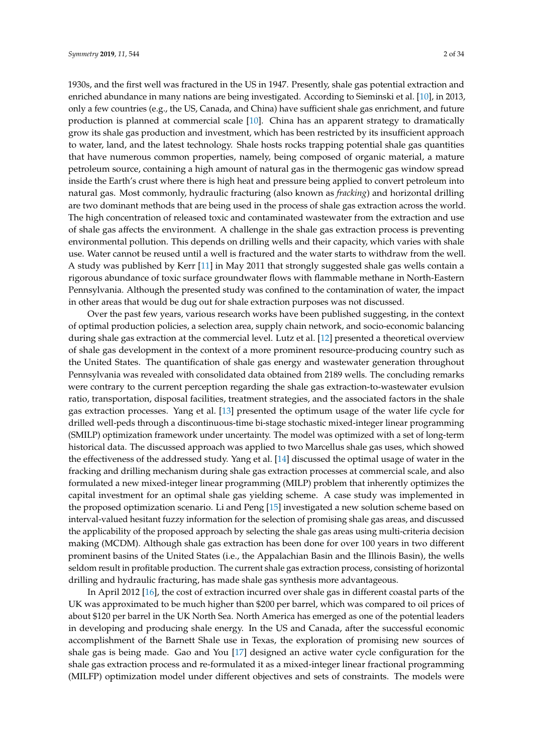1930s, and the first well was fractured in the US in 1947. Presently, shale gas potential extraction and enriched abundance in many nations are being investigated. According to Sieminski et al. [\[10\]](#page-31-5), in 2013, only a few countries (e.g., the US, Canada, and China) have sufficient shale gas enrichment, and future production is planned at commercial scale [\[10\]](#page-31-5). China has an apparent strategy to dramatically grow its shale gas production and investment, which has been restricted by its insufficient approach to water, land, and the latest technology. Shale hosts rocks trapping potential shale gas quantities that have numerous common properties, namely, being composed of organic material, a mature petroleum source, containing a high amount of natural gas in the thermogenic gas window spread inside the Earth's crust where there is high heat and pressure being applied to convert petroleum into natural gas. Most commonly, hydraulic fracturing (also known as *fracking*) and horizontal drilling are two dominant methods that are being used in the process of shale gas extraction across the world. The high concentration of released toxic and contaminated wastewater from the extraction and use of shale gas affects the environment. A challenge in the shale gas extraction process is preventing environmental pollution. This depends on drilling wells and their capacity, which varies with shale use. Water cannot be reused until a well is fractured and the water starts to withdraw from the well. A study was published by Kerr [\[11\]](#page-31-6) in May 2011 that strongly suggested shale gas wells contain a rigorous abundance of toxic surface groundwater flows with flammable methane in North-Eastern Pennsylvania. Although the presented study was confined to the contamination of water, the impact in other areas that would be dug out for shale extraction purposes was not discussed.

Over the past few years, various research works have been published suggesting, in the context of optimal production policies, a selection area, supply chain network, and socio-economic balancing during shale gas extraction at the commercial level. Lutz et al. [\[12\]](#page-31-7) presented a theoretical overview of shale gas development in the context of a more prominent resource-producing country such as the United States. The quantification of shale gas energy and wastewater generation throughout Pennsylvania was revealed with consolidated data obtained from 2189 wells. The concluding remarks were contrary to the current perception regarding the shale gas extraction-to-wastewater evulsion ratio, transportation, disposal facilities, treatment strategies, and the associated factors in the shale gas extraction processes. Yang et al. [\[13\]](#page-31-8) presented the optimum usage of the water life cycle for drilled well-peds through a discontinuous-time bi-stage stochastic mixed-integer linear programming (SMILP) optimization framework under uncertainty. The model was optimized with a set of long-term historical data. The discussed approach was applied to two Marcellus shale gas uses, which showed the effectiveness of the addressed study. Yang et al. [\[14\]](#page-31-9) discussed the optimal usage of water in the fracking and drilling mechanism during shale gas extraction processes at commercial scale, and also formulated a new mixed-integer linear programming (MILP) problem that inherently optimizes the capital investment for an optimal shale gas yielding scheme. A case study was implemented in the proposed optimization scenario. Li and Peng [\[15\]](#page-31-10) investigated a new solution scheme based on interval-valued hesitant fuzzy information for the selection of promising shale gas areas, and discussed the applicability of the proposed approach by selecting the shale gas areas using multi-criteria decision making (MCDM). Although shale gas extraction has been done for over 100 years in two different prominent basins of the United States (i.e., the Appalachian Basin and the Illinois Basin), the wells seldom result in profitable production. The current shale gas extraction process, consisting of horizontal drilling and hydraulic fracturing, has made shale gas synthesis more advantageous.

In April 2012 [\[16\]](#page-31-11), the cost of extraction incurred over shale gas in different coastal parts of the UK was approximated to be much higher than \$200 per barrel, which was compared to oil prices of about \$120 per barrel in the UK North Sea. North America has emerged as one of the potential leaders in developing and producing shale energy. In the US and Canada, after the successful economic accomplishment of the Barnett Shale use in Texas, the exploration of promising new sources of shale gas is being made. Gao and You [\[17\]](#page-31-12) designed an active water cycle configuration for the shale gas extraction process and re-formulated it as a mixed-integer linear fractional programming (MILFP) optimization model under different objectives and sets of constraints. The models were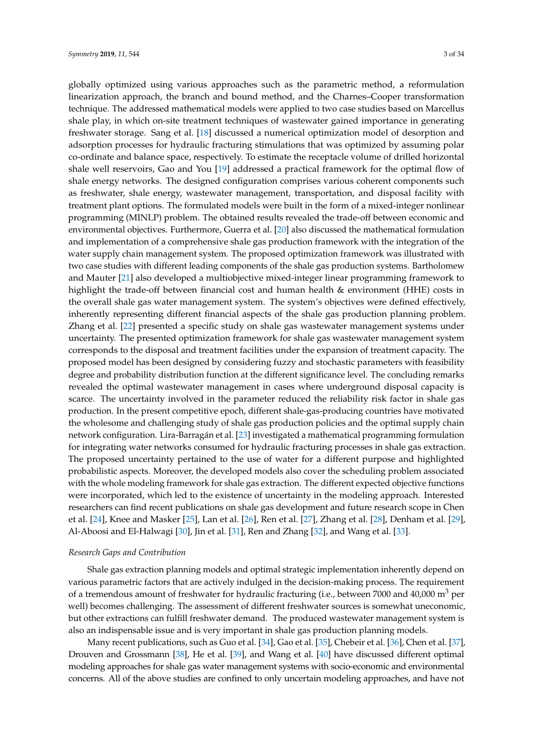globally optimized using various approaches such as the parametric method, a reformulation linearization approach, the branch and bound method, and the Charnes–Cooper transformation technique. The addressed mathematical models were applied to two case studies based on Marcellus shale play, in which on-site treatment techniques of wastewater gained importance in generating freshwater storage. Sang et al. [\[18\]](#page-31-13) discussed a numerical optimization model of desorption and adsorption processes for hydraulic fracturing stimulations that was optimized by assuming polar co-ordinate and balance space, respectively. To estimate the receptacle volume of drilled horizontal shale well reservoirs, Gao and You [\[19\]](#page-31-14) addressed a practical framework for the optimal flow of shale energy networks. The designed configuration comprises various coherent components such as freshwater, shale energy, wastewater management, transportation, and disposal facility with treatment plant options. The formulated models were built in the form of a mixed-integer nonlinear programming (MINLP) problem. The obtained results revealed the trade-off between economic and environmental objectives. Furthermore, Guerra et al. [\[20\]](#page-31-15) also discussed the mathematical formulation and implementation of a comprehensive shale gas production framework with the integration of the water supply chain management system. The proposed optimization framework was illustrated with two case studies with different leading components of the shale gas production systems. Bartholomew and Mauter [\[21\]](#page-31-16) also developed a multiobjective mixed-integer linear programming framework to highlight the trade-off between financial cost and human health & environment (HHE) costs in the overall shale gas water management system. The system's objectives were defined effectively, inherently representing different financial aspects of the shale gas production planning problem. Zhang et al. [\[22\]](#page-31-17) presented a specific study on shale gas wastewater management systems under uncertainty. The presented optimization framework for shale gas wastewater management system corresponds to the disposal and treatment facilities under the expansion of treatment capacity. The proposed model has been designed by considering fuzzy and stochastic parameters with feasibility degree and probability distribution function at the different significance level. The concluding remarks revealed the optimal wastewater management in cases where underground disposal capacity is scarce. The uncertainty involved in the parameter reduced the reliability risk factor in shale gas production. In the present competitive epoch, different shale-gas-producing countries have motivated the wholesome and challenging study of shale gas production policies and the optimal supply chain network configuration. Lira-Barragán et al. [\[23\]](#page-31-18) investigated a mathematical programming formulation for integrating water networks consumed for hydraulic fracturing processes in shale gas extraction. The proposed uncertainty pertained to the use of water for a different purpose and highlighted probabilistic aspects. Moreover, the developed models also cover the scheduling problem associated with the whole modeling framework for shale gas extraction. The different expected objective functions were incorporated, which led to the existence of uncertainty in the modeling approach. Interested researchers can find recent publications on shale gas development and future research scope in Chen et al. [\[24\]](#page-31-19), Knee and Masker [\[25\]](#page-31-20), Lan et al. [\[26\]](#page-31-21), Ren et al. [\[27\]](#page-32-0), Zhang et al. [\[28\]](#page-32-1), Denham et al. [\[29\]](#page-32-2), Al-Aboosi and El-Halwagi [\[30\]](#page-32-3), Jin et al. [\[31\]](#page-32-4), Ren and Zhang [\[32\]](#page-32-5), and Wang et al. [\[33\]](#page-32-6).

## *Research Gaps and Contribution*

Shale gas extraction planning models and optimal strategic implementation inherently depend on various parametric factors that are actively indulged in the decision-making process. The requirement of a tremendous amount of freshwater for hydraulic fracturing (i.e., between 7000 and 40,000  $\mathrm{m}^3$  per well) becomes challenging. The assessment of different freshwater sources is somewhat uneconomic, but other extractions can fulfill freshwater demand. The produced wastewater management system is also an indispensable issue and is very important in shale gas production planning models.

Many recent publications, such as Guo et al. [\[34\]](#page-32-7), Gao et al. [\[35\]](#page-32-8), Chebeir et al. [\[36\]](#page-32-9), Chen et al. [\[37\]](#page-32-10), Drouven and Grossmann [\[38\]](#page-32-11), He et al. [\[39\]](#page-32-12), and Wang et al. [\[40\]](#page-32-13) have discussed different optimal modeling approaches for shale gas water management systems with socio-economic and environmental concerns. All of the above studies are confined to only uncertain modeling approaches, and have not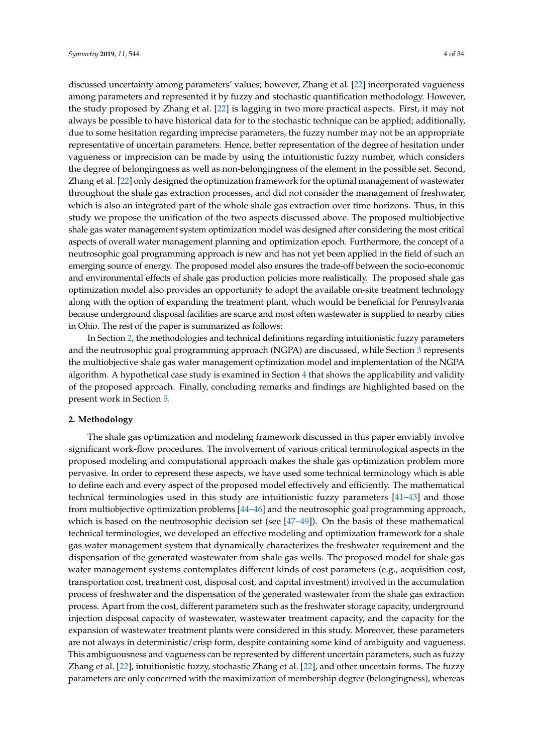discussed uncertainty among parameters' values; however, Zhang et al. [\[22\]](#page-31-17) incorporated vagueness among parameters and represented it by fuzzy and stochastic quantification methodology. However, the study proposed by Zhang et al. [\[22\]](#page-31-17) is lagging in two more practical aspects. First, it may not always be possible to have historical data for to the stochastic technique can be applied; additionally, due to some hesitation regarding imprecise parameters, the fuzzy number may not be an appropriate representative of uncertain parameters. Hence, better representation of the degree of hesitation under vagueness or imprecision can be made by using the intuitionistic fuzzy number, which considers the degree of belongingness as well as non-belongingness of the element in the possible set. Second, Zhang et al. [\[22\]](#page-31-17) only designed the optimization framework for the optimal management of wastewater throughout the shale gas extraction processes, and did not consider the management of freshwater, which is also an integrated part of the whole shale gas extraction over time horizons. Thus, in this study we propose the unification of the two aspects discussed above. The proposed multiobjective shale gas water management system optimization model was designed after considering the most critical aspects of overall water management planning and optimization epoch. Furthermore, the concept of a neutrosophic goal programming approach is new and has not yet been applied in the field of such an emerging source of energy. The proposed model also ensures the trade-off between the socio-economic and environmental effects of shale gas production policies more realistically. The proposed shale gas optimization model also provides an opportunity to adopt the available on-site treatment technology along with the option of expanding the treatment plant, which would be beneficial for Pennsylvania because underground disposal facilities are scarce and most often wastewater is supplied to nearby cities in Ohio. The rest of the paper is summarized as follows:

In Section [2,](#page-3-0) the methodologies and technical definitions regarding intuitionistic fuzzy parameters and the neutrosophic goal programming approach (NGPA) are discussed, while Section [3](#page-10-0) represents the multiobjective shale gas water management optimization model and implementation of the NGPA algorithm. A hypothetical case study is examined in Section [4](#page-21-0) that shows the applicability and validity of the proposed approach. Finally, concluding remarks and findings are highlighted based on the present work in Section [5.](#page-29-0)

### <span id="page-3-0"></span>**2. Methodology**

The shale gas optimization and modeling framework discussed in this paper enviably involve significant work-flow procedures. The involvement of various critical terminological aspects in the proposed modeling and computational approach makes the shale gas optimization problem more pervasive. In order to represent these aspects, we have used some technical terminology which is able to define each and every aspect of the proposed model effectively and efficiently. The mathematical technical terminologies used in this study are intuitionistic fuzzy parameters [\[41](#page-32-14)[–43\]](#page-32-15) and those from multiobjective optimization problems [\[44](#page-32-16)[–46\]](#page-32-17) and the neutrosophic goal programming approach, which is based on the neutrosophic decision set (see  $[47-49]$  $[47-49]$ ). On the basis of these mathematical technical terminologies, we developed an effective modeling and optimization framework for a shale gas water management system that dynamically characterizes the freshwater requirement and the dispensation of the generated wastewater from shale gas wells. The proposed model for shale gas water management systems contemplates different kinds of cost parameters (e.g., acquisition cost, transportation cost, treatment cost, disposal cost, and capital investment) involved in the accumulation process of freshwater and the dispensation of the generated wastewater from the shale gas extraction process. Apart from the cost, different parameters such as the freshwater storage capacity, underground injection disposal capacity of wastewater, wastewater treatment capacity, and the capacity for the expansion of wastewater treatment plants were considered in this study. Moreover, these parameters are not always in deterministic/crisp form, despite containing some kind of ambiguity and vagueness. This ambiguousness and vagueness can be represented by different uncertain parameters, such as fuzzy Zhang et al. [\[22\]](#page-31-17), intuitionistic fuzzy, stochastic Zhang et al. [\[22\]](#page-31-17), and other uncertain forms. The fuzzy parameters are only concerned with the maximization of membership degree (belongingness), whereas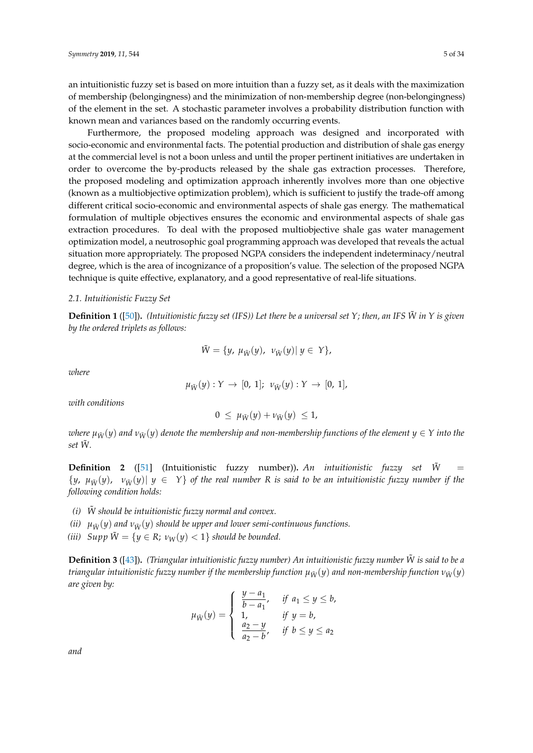an intuitionistic fuzzy set is based on more intuition than a fuzzy set, as it deals with the maximization of membership (belongingness) and the minimization of non-membership degree (non-belongingness) of the element in the set. A stochastic parameter involves a probability distribution function with known mean and variances based on the randomly occurring events.

Furthermore, the proposed modeling approach was designed and incorporated with socio-economic and environmental facts. The potential production and distribution of shale gas energy at the commercial level is not a boon unless and until the proper pertinent initiatives are undertaken in order to overcome the by-products released by the shale gas extraction processes. Therefore, the proposed modeling and optimization approach inherently involves more than one objective (known as a multiobjective optimization problem), which is sufficient to justify the trade-off among different critical socio-economic and environmental aspects of shale gas energy. The mathematical formulation of multiple objectives ensures the economic and environmental aspects of shale gas extraction procedures. To deal with the proposed multiobjective shale gas water management optimization model, a neutrosophic goal programming approach was developed that reveals the actual situation more appropriately. The proposed NGPA considers the independent indeterminacy/neutral degree, which is the area of incognizance of a proposition's value. The selection of the proposed NGPA technique is quite effective, explanatory, and a good representative of real-life situations.

## *2.1. Intuitionistic Fuzzy Set*

**Definition 1** ([\[50\]](#page-32-20))**.** *(Intuitionistic fuzzy set (IFS)) Let there be a universal set Y; then, an IFS W*˜ *in Y is given by the ordered triplets as follows:*

$$
\tilde{W} = \{y, \, \mu_{\tilde{W}}(y), \, v_{\tilde{W}}(y) | \, y \in Y\},
$$

*where*

$$
\mu_{\tilde{W}}(y): Y \to [0, 1]; \nu_{\tilde{W}}(y): Y \to [0, 1],
$$

*with conditions*

$$
0 \leq \mu_{\tilde{W}}(y) + \nu_{\tilde{W}}(y) \leq 1,
$$

*where*  $\mu_{\tilde{W}}(y)$  and  $\nu_{\tilde{W}}(y)$  denote the membership and non-membership functions of the element  $y \in Y$  into the *set W.* ˜

**Definition 2** ([\[51\]](#page-33-0) (Intuitionistic fuzzy number)). An intuitionistic fuzzy set  $\tilde{W}$  =  $\{y, \mu_{\tilde{W}}(y), \nu_{\tilde{W}}(y)\}\$   $y \in Y\}$  of the real number R is said to be an intuitionistic fuzzy number if the *following condition holds:*

- *(i) W should be intuitionistic fuzzy normal and convex.* ˜
- *(ii)*  $\mu_{\tilde{W}}(y)$  *and*  $\nu_{\tilde{W}}(y)$  *should be upper and lower semi-continuous functions.*
- *(iii)*  $Supp \tilde{W} = \{y \in R; v_W(y) < 1\}$  should be bounded.

**Definition 3** ([\[43\]](#page-32-15))**.** *(Triangular intuitionistic fuzzy number) An intuitionistic fuzzy number W*˜ *is said to be a triangular intuitionistic fuzzy number if the membership function*  $\mu_{\tilde{W}}(y)$  *and non-membership function*  $\nu_{\tilde{W}}(y)$ *are given by:*

$$
\mu_{\tilde{W}}(y) = \begin{cases} \frac{y - a_1}{b - a_1}, & \text{if } a_1 \le y \le b, \\ 1, & \text{if } y = b, \\ \frac{a_2 - y}{a_2 - b}, & \text{if } b \le y \le a_2 \end{cases}
$$

*and*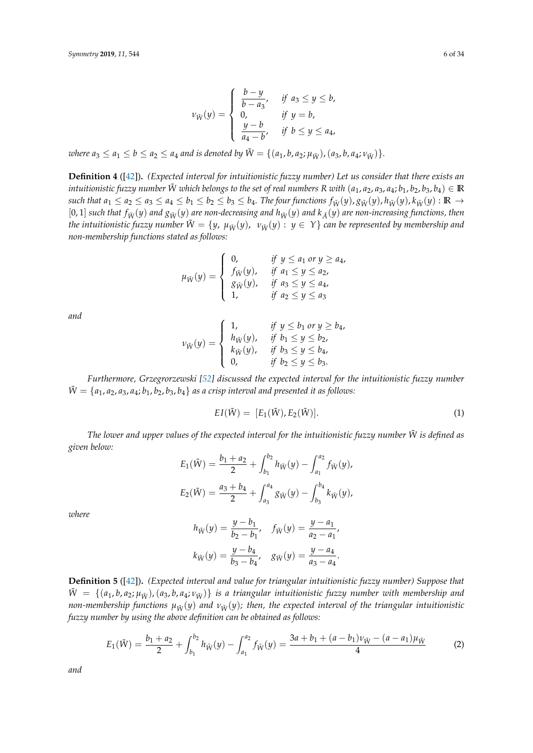$$
\nu_{\tilde{W}}(y) = \begin{cases}\n\frac{b-y}{b-a_3}, & \text{if } a_3 \le y \le b, \\
0, & \text{if } y = b, \\
\frac{y-b}{a_4-b}, & \text{if } b \le y \le a_4,\n\end{cases}
$$

*where*  $a_3 \le a_1 \le b \le a_2 \le a_4$  *and is denoted by*  $\tilde{W} = \{(a_1, b, a_2; \mu_{\tilde{W}}), (a_3, b, a_4; \nu_{\tilde{W}})\}.$ 

**Definition 4** ([\[42\]](#page-32-21))**.** *(Expected interval for intuitionistic fuzzy number) Let us consider that there exists an intuitionistic fuzzy number*  $\tilde{W}$  *which belongs to the set of real numbers*  $R$  *with*  $(a_1, a_2, a_3, a_4; b_1, b_2, b_3, b_4) \in \mathbb{R}$ such that  $a_1 \le a_2 \le a_3 \le a_4 \le b_1 \le b_2 \le b_3 \le b_4$ . The four functions  $f_{\tilde{W}}(y), g_{\tilde{W}}(y), h_{\tilde{W}}(y), k_{\tilde{W}}(y)$ :  $\mathbb{R} \to$ [0,1] such that  $f_{\tilde{W}}(y)$  and  $g_{\tilde{W}}(y)$  are non-decreasing and  $h_{\tilde{W}}(y)$  and  $k_{\tilde{A}}(y)$  are non-increasing functions, then *the intuitionistic fuzzy number*  $\tilde{W} = \{y, \mu_{\tilde{W}}(y), \nu_{\tilde{W}}(y) : y \in Y\}$  can be represented by membership and *non-membership functions stated as follows:*

$$
\mu_{\tilde{W}}(y) = \begin{cases} 0, & \text{if } y \le a_1 \text{ or } y \ge a_4, \\ f_{\tilde{W}}(y), & \text{if } a_1 \le y \le a_2, \\ g_{\tilde{W}}(y), & \text{if } a_3 \le y \le a_4, \\ 1, & \text{if } a_2 \le y \le a_3 \end{cases}
$$

*and*

$$
\nu_{\tilde{W}}(y) = \begin{cases}\n1, & \text{if } y \le b_1 \text{ or } y \ge b_4, \\
h_{\tilde{W}}(y), & \text{if } b_1 \le y \le b_2, \\
k_{\tilde{W}}(y), & \text{if } b_3 \le y \le b_4, \\
0, & \text{if } b_2 \le y \le b_3.\n\end{cases}
$$

*Furthermore, Grzegrorzewski [\[52\]](#page-33-1) discussed the expected interval for the intuitionistic fuzzy number*  $\tilde{W} = \{a_1, a_2, a_3, a_4; b_1, b_2, b_3, b_4\}$  *as a crisp interval and presented it as follows:* 

$$
EI(\tilde{W}) = [E_1(\tilde{W}), E_2(\tilde{W})]. \tag{1}
$$

*The lower and upper values of the expected interval for the intuitionistic fuzzy number W*˜ *is defined as given below:*

$$
E_1(\tilde{W}) = \frac{b_1 + a_2}{2} + \int_{b_1}^{b_2} h_{\tilde{W}}(y) - \int_{a_1}^{a_2} f_{\tilde{W}}(y),
$$
  

$$
E_2(\tilde{W}) = \frac{a_3 + b_4}{2} + \int_{a_3}^{a_4} g_{\tilde{W}}(y) - \int_{b_3}^{b_4} k_{\tilde{W}}(y),
$$

*where*

$$
h_{\tilde{W}}(y) = \frac{y - b_1}{b_2 - b_1}, \quad f_{\tilde{W}}(y) = \frac{y - a_1}{a_2 - a_1},
$$
  

$$
k_{\tilde{W}}(y) = \frac{y - b_4}{b_3 - b_4}, \quad g_{\tilde{W}}(y) = \frac{y - a_4}{a_3 - a_4}.
$$

**Definition 5** ([\[42\]](#page-32-21))**.** *(Expected interval and value for triangular intuitionistic fuzzy number) Suppose that*  $\tilde{W} = \{(a_1, b, a_2; \mu_{\tilde{W}}), (a_3, b, a_4; \nu_{\tilde{W}})\}\$ is a triangular intuitionistic fuzzy number with membership and *non-membership functions*  $\mu_{\tilde{W}}(y)$  *and*  $\nu_{\tilde{W}}(y)$ *; then, the expected interval of the triangular intuitionistic fuzzy number by using the above definition can be obtained as follows:*

$$
E_1(\tilde{W}) = \frac{b_1 + a_2}{2} + \int_{b_1}^{b_2} h_{\tilde{W}}(y) - \int_{a_1}^{a_2} f_{\tilde{W}}(y) = \frac{3a + b_1 + (a - b_1)v_{\tilde{W}} - (a - a_1)\mu_{\tilde{W}}}{4}
$$
(2)

*and*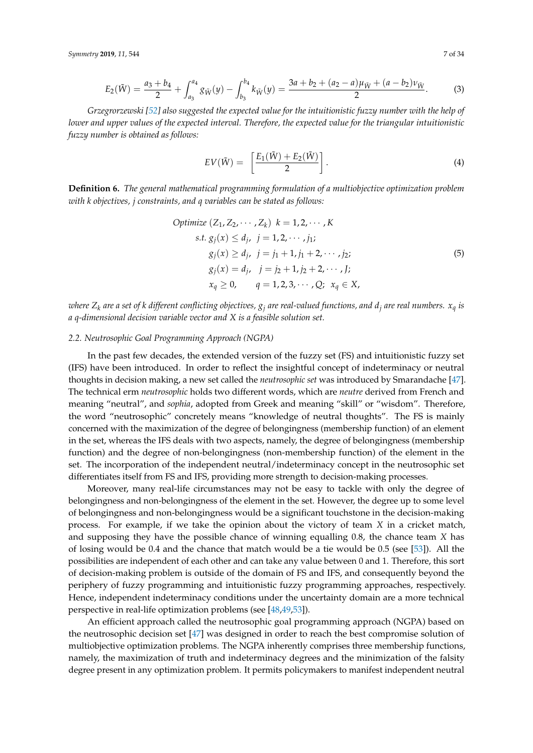$$
E_2(\tilde{W}) = \frac{a_3 + b_4}{2} + \int_{a_3}^{a_4} g_{\tilde{W}}(y) - \int_{b_3}^{b_4} k_{\tilde{W}}(y) = \frac{3a + b_2 + (a_2 - a)\mu_{\tilde{W}} + (a - b_2)\nu_{\tilde{W}}}{2}.
$$
 (3)

*Grzegrorzewski [\[52\]](#page-33-1) also suggested the expected value for the intuitionistic fuzzy number with the help of lower and upper values of the expected interval. Therefore, the expected value for the triangular intuitionistic fuzzy number is obtained as follows:*

$$
EV(\tilde{W}) = \left[\frac{E_1(\tilde{W}) + E_2(\tilde{W})}{2}\right].
$$
\n(4)

**Definition 6.** *The general mathematical programming formulation of a multiobjective optimization problem with k objectives, j constraints, and q variables can be stated as follows:*

Optimize 
$$
(Z_1, Z_2, \dots, Z_k)
$$
  $k = 1, 2, \dots, K$   
\ns.t.  $g_j(x) \le d_j$ ,  $j = 1, 2, \dots, j_1$ ;  
\n $g_j(x) \ge d_j$ ,  $j = j_1 + 1, j_1 + 2, \dots, j_2$ ;  
\n $g_j(x) = d_j$ ,  $j = j_2 + 1, j_2 + 2, \dots, J_j$ ;  
\n $x_q \ge 0$ ,  $q = 1, 2, 3, \dots, Q$ ;  $x_q \in X$ ,

*x where*  $Z_k$  *are a set of k different conflicting objectives,*  $g_j$  *<i>are real-valued functions, and*  $d_j$  *are real numbers.*  $x_q$  *is a q-dimensional decision variable vector and X is a feasible solution set.*

## *2.2. Neutrosophic Goal Programming Approach (NGPA)*

In the past few decades, the extended version of the fuzzy set (FS) and intuitionistic fuzzy set (IFS) have been introduced. In order to reflect the insightful concept of indeterminacy or neutral thoughts in decision making, a new set called the *neutrosophic set* was introduced by Smarandache [\[47\]](#page-32-18). The technical erm *neutrosophic* holds two different words, which are *neutre* derived from French and meaning "neutral", and *sophia*, adopted from Greek and meaning "skill" or "wisdom". Therefore, the word "neutrosophic" concretely means "knowledge of neutral thoughts". The FS is mainly concerned with the maximization of the degree of belongingness (membership function) of an element in the set, whereas the IFS deals with two aspects, namely, the degree of belongingness (membership function) and the degree of non-belongingness (non-membership function) of the element in the set. The incorporation of the independent neutral/indeterminacy concept in the neutrosophic set differentiates itself from FS and IFS, providing more strength to decision-making processes.

Moreover, many real-life circumstances may not be easy to tackle with only the degree of belongingness and non-belongingness of the element in the set. However, the degree up to some level of belongingness and non-belongingness would be a significant touchstone in the decision-making process. For example, if we take the opinion about the victory of team *X* in a cricket match, and supposing they have the possible chance of winning equalling 0.8, the chance team *X* has of losing would be 0.4 and the chance that match would be a tie would be 0.5 (see [\[53\]](#page-33-2)). All the possibilities are independent of each other and can take any value between 0 and 1. Therefore, this sort of decision-making problem is outside of the domain of FS and IFS, and consequently beyond the periphery of fuzzy programming and intuitionistic fuzzy programming approaches, respectively. Hence, independent indeterminacy conditions under the uncertainty domain are a more technical perspective in real-life optimization problems (see [\[48,](#page-32-22)[49](#page-32-19)[,53\]](#page-33-2)).

An efficient approach called the neutrosophic goal programming approach (NGPA) based on the neutrosophic decision set [\[47\]](#page-32-18) was designed in order to reach the best compromise solution of multiobjective optimization problems. The NGPA inherently comprises three membership functions, namely, the maximization of truth and indeterminacy degrees and the minimization of the falsity degree present in any optimization problem. It permits policymakers to manifest independent neutral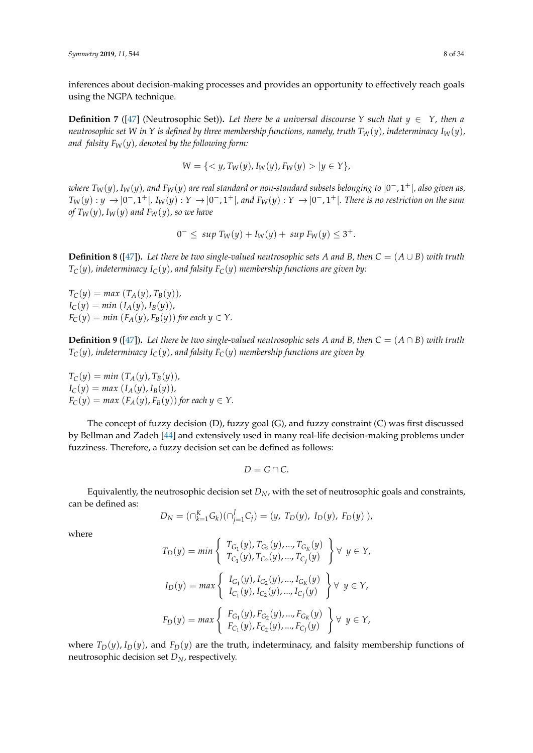inferences about decision-making processes and provides an opportunity to effectively reach goals using the NGPA technique.

**Definition 7** ([\[47\]](#page-32-18) (Neutrosophic Set)). Let there be a universal discourse Y such that  $y \in Y$ , then a *neutrosophic set W in Y is defined by three membership functions, namely, truth*  $T_W(y)$ *, indeterminacy*  $I_W(y)$ *, and falsity*  $F_W(y)$ *, denoted by the following form:* 

$$
W = \{ \langle y, T_W(y), I_W(y), F_W(y) \rangle | y \in Y \},\
$$

*where TW*(*y*), *IW*(*y*)*, and FW*(*y*) *are real standard or non-standard subsets belonging to* ]0 <sup>−</sup>, 1+[*, also given as,*  $T_W(y): y \to ]0^-, 1^+[$ ,  $I_W(y): Y \to ]0^-, 1^+[$ , and  $F_W(y): Y \to ]0^-, 1^+[$ . There is no restriction on the sum *of*  $T_W(y)$ ,  $I_W(y)$  and  $F_W(y)$ , so we have

$$
0^{-} \leq \sup T_{W}(y) + I_{W}(y) + \sup F_{W}(y) \leq 3^{+}.
$$

**Definition 8** ([\[47\]](#page-32-18)). Let there be two single-valued neutrosophic sets *A* and *B*, then  $C = (A \cup B)$  with truth  $T_C(y)$ , indeterminacy  $I_C(y)$ , and falsity  $F_C(y)$  membership functions are given by:

 $T_C(y) = max(T_A(y), T_B(y))$ ,  $I_C(y) = min(I_A(y), I_B(y))$ ,  $F_C(y) = min(F_A(y), F_B(y))$  *for each*  $y \in Y$ .

**Definition 9** ([\[47\]](#page-32-18)). Let there be two single-valued neutrosophic sets A and B, then  $C = (A \cap B)$  with truth  $T_C(y)$ *, indeterminacy*  $I_C(y)$ *, and falsity*  $F_C(y)$  *membership functions are given by* 

 $T_C(y) = min(T_A(y), T_B(y)),$  $I_C(y) = max(I_A(y), I_B(y))$ ,  $F_C(y) = max(F_A(y), F_B(y))$  *for each*  $y \in Y$ .

The concept of fuzzy decision (D), fuzzy goal (G), and fuzzy constraint (C) was first discussed by Bellman and Zadeh [\[44\]](#page-32-16) and extensively used in many real-life decision-making problems under fuzziness. Therefore, a fuzzy decision set can be defined as follows:

$$
D=G\cap C.
$$

Equivalently, the neutrosophic decision set *DN*, with the set of neutrosophic goals and constraints, can be defined as:

$$
D_N = (\bigcap_{k=1}^K G_k)(\bigcap_{j=1}^J C_j) = (y, T_D(y), I_D(y), F_D(y)),
$$

where

$$
T_D(y) = min \begin{cases} T_{G_1}(y), T_{G_2}(y), ..., T_{G_K}(y) \\ T_{C_1}(y), T_{C_2}(y), ..., T_{C_J}(y) \end{cases} \forall y \in Y,
$$
  
\n
$$
I_D(y) = max \begin{cases} I_{G_1}(y), I_{G_2}(y), ..., I_{G_K}(y) \\ I_{C_1}(y), I_{C_2}(y), ..., I_{C_J}(y) \end{cases} \forall y \in Y,
$$
  
\n
$$
F_D(y) = max \begin{cases} F_{G_1}(y), F_{G_2}(y), ..., F_{G_K}(y) \\ F_{C_1}(y), F_{C_2}(y), ..., F_{C_J}(y) \end{cases} \forall y \in Y,
$$

where  $T_D(y)$ ,  $I_D(y)$ , and  $F_D(y)$  are the truth, indeterminacy, and falsity membership functions of neutrosophic decision set *DN*, respectively.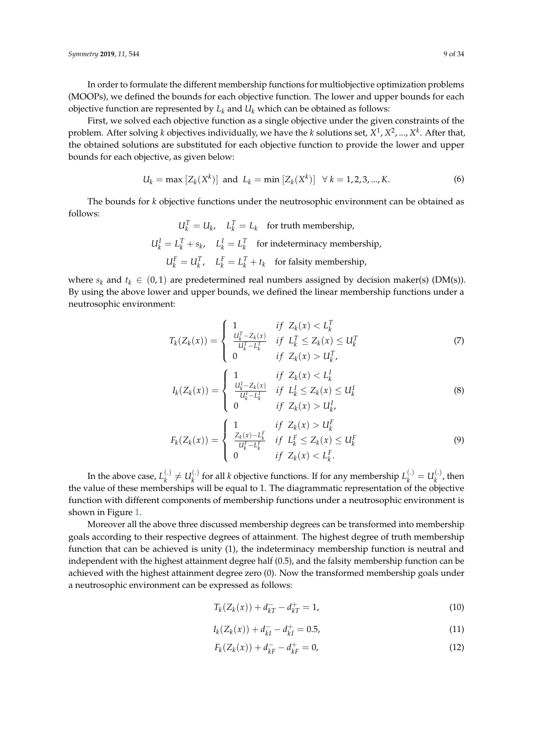In order to formulate the different membership functions for multiobjective optimization problems (MOOPs), we defined the bounds for each objective function. The lower and upper bounds for each objective function are represented by  $L_k$  and  $U_k$  which can be obtained as follows:

First, we solved each objective function as a single objective under the given constraints of the problem. After solving *k* objectives individually, we have the *k* solutions set, *X* 1 , *X* 2 , ..., *X k* . After that, the obtained solutions are substituted for each objective function to provide the lower and upper bounds for each objective, as given below:

$$
U_k = \max [Z_k(X^k)] \text{ and } L_k = \min [Z_k(X^k)] \quad \forall \, k = 1, 2, 3, ..., K. \tag{6}
$$

The bounds for *k* objective functions under the neutrosophic environment can be obtained as follows:

> $U_k^T = U_k$ ,  $L_k^T = L_k$  for truth membership,  $U_k^I = L_k^T + s_k$ ,  $L_k^I = L_k^T$  for indeterminacy membership,  $U_k^F = U_k^T$ ,  $L_k^F = L_k^T + t_k$  for falsity membership,

where  $s_k$  and  $t_k \in (0, 1)$  are predetermined real numbers assigned by decision maker(s) (DM(s)). By using the above lower and upper bounds, we defined the linear membership functions under a neutrosophic environment:

$$
T_{k}(Z_{k}(x)) = \begin{cases} 1 & \text{if } Z_{k}(x) < L_{k}^{T} \\ \frac{U_{k}^{T} - Z_{k}(x)}{U_{k}^{T} - L_{k}^{T}} & \text{if } L_{k}^{T} \le Z_{k}(x) \le U_{k}^{T} \\ 0 & \text{if } Z_{k}(x) > U_{k}^{T}, \end{cases}
$$
(7)

$$
I_{k}(Z_{k}(x)) = \begin{cases} 1 & \text{if } Z_{k}(x) < L_{k}^{I} \\ \frac{U_{k}^{I} - Z_{k}(x)}{U_{k}^{I} - L_{k}^{I}} & \text{if } L_{k}^{I} \le Z_{k}(x) \le U_{k}^{I} \\ 0 & \text{if } Z_{k}(x) > U_{k}^{I}, \end{cases}
$$
(8)

$$
F_k(Z_k(x)) = \begin{cases} 1 & \text{if } Z_k(x) > U_k^F \\ \frac{Z_k(x) - L_k^F}{U_k^F - L_k^F} & \text{if } L_k^F \le Z_k(x) \le U_k^F \\ 0 & \text{if } Z_k(x) < L_k^F. \end{cases}
$$
(9)

In the above case,  $L_k^{(.)}$  $u_k^{(.)} \neq U_k^{(.)}$  $L_k^{(.)}$  for all *k* objective functions. If for any membership  $L_k^{(.)} = U_k^{(.)}$  $\mathbf{R}^{(1)}$ , then the value of these memberships will be equal to 1. The diagrammatic representation of the objective function with different components of membership functions under a neutrosophic environment is shown in Figure [1.](#page-9-0)

Moreover all the above three discussed membership degrees can be transformed into membership goals according to their respective degrees of attainment. The highest degree of truth membership function that can be achieved is unity (1), the indeterminacy membership function is neutral and independent with the highest attainment degree half (0.5), and the falsity membership function can be achieved with the highest attainment degree zero (0). Now the transformed membership goals under a neutrosophic environment can be expressed as follows:

$$
T_k(Z_k(x)) + d_{kT}^- - d_{kT}^+ = 1,
$$
\n(10)

$$
I_k(Z_k(x)) + d_{kl}^- - d_{kl}^+ = 0.5,\t\t(11)
$$

$$
F_k(Z_k(x)) + d_{kF}^- - d_{kF}^+ = 0,
$$
\n(12)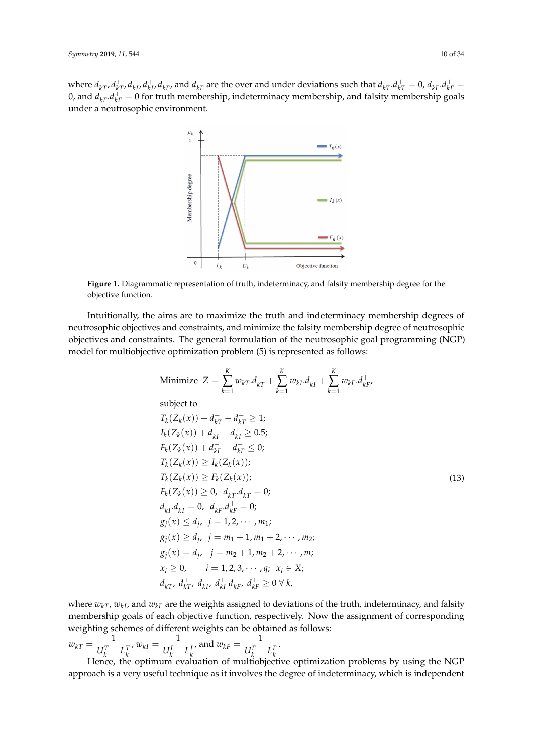<span id="page-9-0"></span>where  $d_{kT}^-, d_{kT}^+, d_{kI}^-, d_{kI}^+, d_{kF}^-$ , and  $d_{kF}^+$  are the over and under deviations such that  $d_{kT}^-, d_{kT}^+ = 0$ ,  $d_{kT}^-, d_{kF}^+ =$ 0, and  $d_{kF}^-, d_{kF}^+ = 0$  for truth membership, indeterminacy membership, and falsity membership goals under a neutrosophic environment.



**Figure 1.** Diagrammatic representation of truth, indeterminacy, and falsity membership degree for the objective function.

Intuitionally, the aims are to maximize the truth and indeterminacy membership degrees of neutrosophic objectives and constraints, and minimize the falsity membership degree of neutrosophic objectives and constraints. The general formulation of the neutrosophic goal programming (NGP) model for multiobjective optimization problem (5) is represented as follows:

Minimize 
$$
Z = \sum_{k=1}^{K} w_{kT} d_{kT}^- + \sum_{k=1}^{K} w_{kI} d_{kI}^- + \sum_{k=1}^{K} w_{kF} d_{kF}^+
$$
  
\nsubject to  
\n $T_k(Z_k(x)) + d_{kT}^- - d_{kT}^+ \ge 1$ ;  
\n $I_k(Z_k(x)) + d_{kI}^- - d_{kI}^+ \ge 0.5$ ;  
\n $F_k(Z_k(x)) + d_{kF}^- - d_{kF}^+ \le 0$ ;  
\n $T_k(Z_k(x)) \ge I_k(Z_k(x))$ ;  
\n $T_k(Z_k(x)) \ge P_k(Z_k(x))$ ;  
\n $F_k(Z_k(x)) \ge 0, d_{kT}^- d_{kT}^+ = 0$ ;  
\n $d_{kI}^- d_{kI}^+ = 0, d_{kF}^- d_{kF}^+ = 0$ ;  
\n $g_j(x) \le d_j, j = 1, 2, \dots, m_1$ ;  
\n $g_j(x) \ge d_j, j = m_1 + 1, m_1 + 2, \dots, m_2$ ;  
\n $g_j(x) = d_j, j = m_2 + 1, m_2 + 2, \dots, m$ ;  
\n $x_i \ge 0, \quad i = 1, 2, 3, \dots, q; \quad x_i \in X$ ;  
\n $d_{kT}^-, d_{kT}^+, d_{kI}^+, d_{kF}^+ \ge 0 \forall k$ ,

where  $w_{kT}$ ,  $w_{kI}$ , and  $w_{kF}$  are the weights assigned to deviations of the truth, indeterminacy, and falsity membership goals of each objective function, respectively. Now the assignment of corresponding weighting schemes of different weights can be obtained as follows:

$$
w_{kT} = \frac{1}{U_k^T - L_k^T}, w_{kI} = \frac{1}{U_k^I - L_k^I}, \text{ and } w_{kF} = \frac{1}{U_k^F - L_k^F}.
$$
  
Hence, the optimum equation of multiplication

 $U_k^T - L_k^{T \wedge \alpha_{kI}}$   $U_k^I - L_k^{I \wedge \alpha_{kI}}$   $U_k^F - L_k^F$ <br>Hence, the optimum evaluation of multiobjective optimization problems by using the NGP approach is a very useful technique as it involves the degree of indeterminacy, which is independent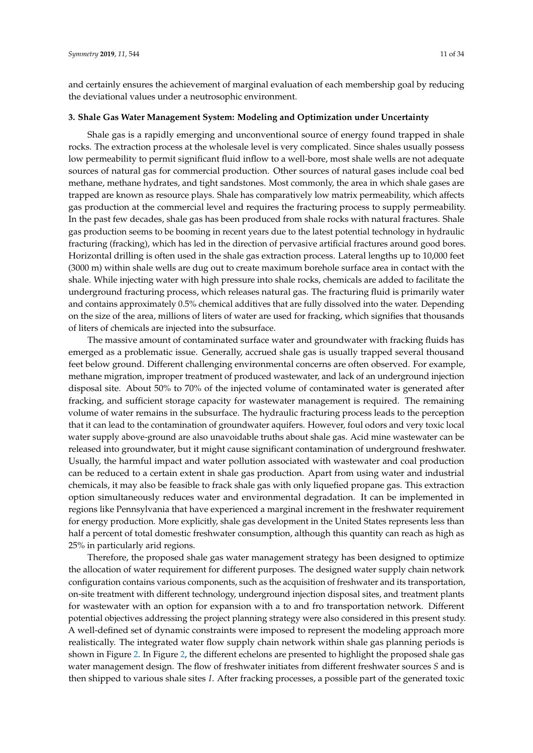and certainly ensures the achievement of marginal evaluation of each membership goal by reducing the deviational values under a neutrosophic environment.

## <span id="page-10-0"></span>**3. Shale Gas Water Management System: Modeling and Optimization under Uncertainty**

Shale gas is a rapidly emerging and unconventional source of energy found trapped in shale rocks. The extraction process at the wholesale level is very complicated. Since shales usually possess low permeability to permit significant fluid inflow to a well-bore, most shale wells are not adequate sources of natural gas for commercial production. Other sources of natural gases include coal bed methane, methane hydrates, and tight sandstones. Most commonly, the area in which shale gases are trapped are known as resource plays. Shale has comparatively low matrix permeability, which affects gas production at the commercial level and requires the fracturing process to supply permeability. In the past few decades, shale gas has been produced from shale rocks with natural fractures. Shale gas production seems to be booming in recent years due to the latest potential technology in hydraulic fracturing (fracking), which has led in the direction of pervasive artificial fractures around good bores. Horizontal drilling is often used in the shale gas extraction process. Lateral lengths up to 10,000 feet (3000 m) within shale wells are dug out to create maximum borehole surface area in contact with the shale. While injecting water with high pressure into shale rocks, chemicals are added to facilitate the underground fracturing process, which releases natural gas. The fracturing fluid is primarily water and contains approximately 0.5% chemical additives that are fully dissolved into the water. Depending on the size of the area, millions of liters of water are used for fracking, which signifies that thousands of liters of chemicals are injected into the subsurface.

The massive amount of contaminated surface water and groundwater with fracking fluids has emerged as a problematic issue. Generally, accrued shale gas is usually trapped several thousand feet below ground. Different challenging environmental concerns are often observed. For example, methane migration, improper treatment of produced wastewater, and lack of an underground injection disposal site. About 50% to 70% of the injected volume of contaminated water is generated after fracking, and sufficient storage capacity for wastewater management is required. The remaining volume of water remains in the subsurface. The hydraulic fracturing process leads to the perception that it can lead to the contamination of groundwater aquifers. However, foul odors and very toxic local water supply above-ground are also unavoidable truths about shale gas. Acid mine wastewater can be released into groundwater, but it might cause significant contamination of underground freshwater. Usually, the harmful impact and water pollution associated with wastewater and coal production can be reduced to a certain extent in shale gas production. Apart from using water and industrial chemicals, it may also be feasible to frack shale gas with only liquefied propane gas. This extraction option simultaneously reduces water and environmental degradation. It can be implemented in regions like Pennsylvania that have experienced a marginal increment in the freshwater requirement for energy production. More explicitly, shale gas development in the United States represents less than half a percent of total domestic freshwater consumption, although this quantity can reach as high as 25% in particularly arid regions.

Therefore, the proposed shale gas water management strategy has been designed to optimize the allocation of water requirement for different purposes. The designed water supply chain network configuration contains various components, such as the acquisition of freshwater and its transportation, on-site treatment with different technology, underground injection disposal sites, and treatment plants for wastewater with an option for expansion with a to and fro transportation network. Different potential objectives addressing the project planning strategy were also considered in this present study. A well-defined set of dynamic constraints were imposed to represent the modeling approach more realistically. The integrated water flow supply chain network within shale gas planning periods is shown in Figure [2.](#page-11-0) In Figure [2,](#page-11-0) the different echelons are presented to highlight the proposed shale gas water management design. The flow of freshwater initiates from different freshwater sources *S* and is then shipped to various shale sites *I*. After fracking processes, a possible part of the generated toxic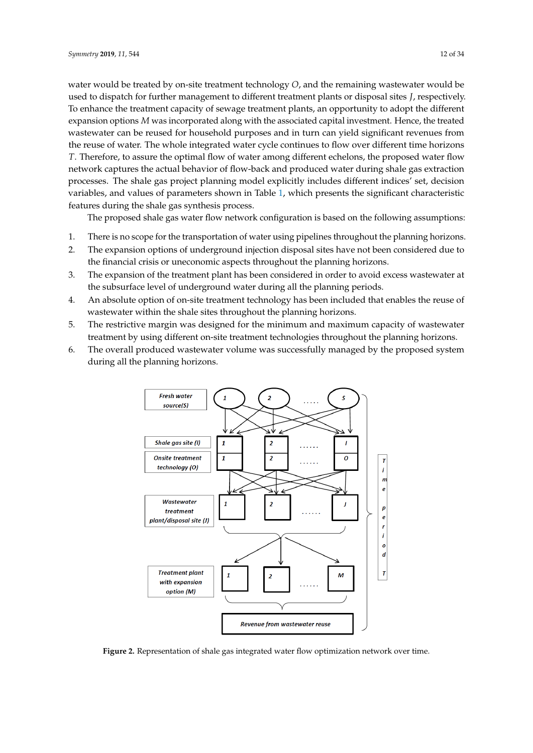water would be treated by on-site treatment technology *O*, and the remaining wastewater would be used to dispatch for further management to different treatment plants or disposal sites *J*, respectively. To enhance the treatment capacity of sewage treatment plants, an opportunity to adopt the different expansion options *M* was incorporated along with the associated capital investment. Hence, the treated wastewater can be reused for household purposes and in turn can yield significant revenues from the reuse of water. The whole integrated water cycle continues to flow over different time horizons *T*. Therefore, to assure the optimal flow of water among different echelons, the proposed water flow network captures the actual behavior of flow-back and produced water during shale gas extraction processes. The shale gas project planning model explicitly includes different indices' set, decision variables, and values of parameters shown in Table [1,](#page-12-0) which presents the significant characteristic features during the shale gas synthesis process.

The proposed shale gas water flow network configuration is based on the following assumptions:

- 1. There is no scope for the transportation of water using pipelines throughout the planning horizons.
- 2. The expansion options of underground injection disposal sites have not been considered due to the financial crisis or uneconomic aspects throughout the planning horizons.
- 3. The expansion of the treatment plant has been considered in order to avoid excess wastewater at the subsurface level of underground water during all the planning periods.
- 4. An absolute option of on-site treatment technology has been included that enables the reuse of wastewater within the shale sites throughout the planning horizons.
- 5. The restrictive margin was designed for the minimum and maximum capacity of wastewater treatment by using different on-site treatment technologies throughout the planning horizons.
- <span id="page-11-0"></span>6. The overall produced wastewater volume was successfully managed by the proposed system during all the planning horizons.



**Figure 2.** Representation of shale gas integrated water flow optimization network over time.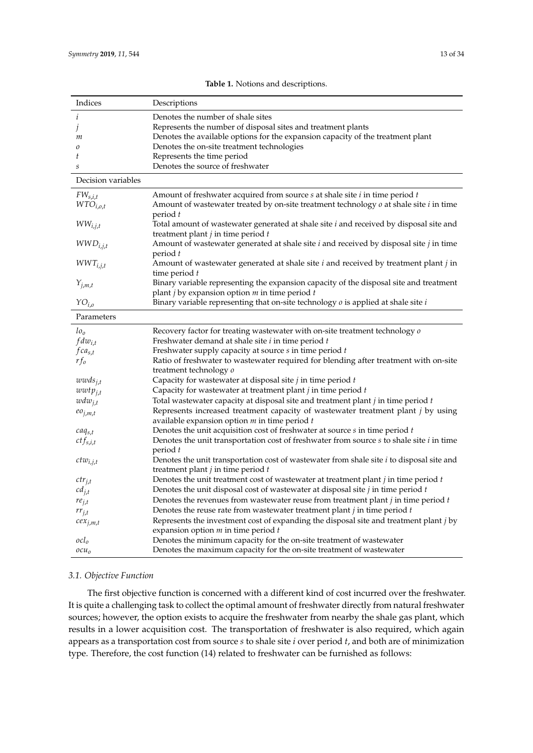<span id="page-12-0"></span>

| Indices             | Descriptions                                                                                 |
|---------------------|----------------------------------------------------------------------------------------------|
| i                   | Denotes the number of shale sites                                                            |
| J                   | Represents the number of disposal sites and treatment plants                                 |
| т                   | Denotes the available options for the expansion capacity of the treatment plant              |
| 0                   | Denotes the on-site treatment technologies                                                   |
| t                   | Represents the time period                                                                   |
| $\cal S$            | Denotes the source of freshwater                                                             |
| Decision variables  |                                                                                              |
| $FW_{s,i,t}$        | Amount of freshwater acquired from source $s$ at shale site $i$ in time period $t$           |
| $WTO_{i,o,t}$       | Amount of wastewater treated by on-site treatment technology $o$ at shale site $i$ in time   |
|                     | period t                                                                                     |
| $WW_{i,j,t}$        | Total amount of wastewater generated at shale site i and received by disposal site and       |
|                     | treatment plant $j$ in time period $t$                                                       |
| $WWD_{i,j,t}$       | Amount of wastewater generated at shale site i and received by disposal site j in time       |
|                     | period t                                                                                     |
| $WWT_{i,j,t}$       | Amount of wastewater generated at shale site i and received by treatment plant j in          |
|                     | time period t                                                                                |
|                     | Binary variable representing the expansion capacity of the disposal site and treatment       |
| $Y_{j,m,t}$         | plant $j$ by expansion option $m$ in time period $t$                                         |
|                     |                                                                                              |
| $YO_{i,o}$          | Binary variable representing that on-site technology $o$ is applied at shale site $i$        |
| Parameters          |                                                                                              |
| $l_{\mathcal{O}_O}$ | Recovery factor for treating wastewater with on-site treatment technology o                  |
| $fdw_{i,t}$         | Freshwater demand at shale site <i>i</i> in time period <i>t</i>                             |
| $fca_{s,t}$         | Freshwater supply capacity at source s in time period t                                      |
| $rf_0$              | Ratio of freshwater to wastewater required for blending after treatment with on-site         |
|                     | treatment technology o                                                                       |
| $wwds_{j,t}$        | Capacity for wastewater at disposal site $j$ in time period $t$                              |
| $wwt p_{i,t}$       | Capacity for wastewater at treatment plant $j$ in time period $t$                            |
| $wdw_{j,t}$         | Total wastewater capacity at disposal site and treatment plant $j$ in time period $t$        |
|                     | Represents increased treatment capacity of wastewater treatment plant j by using             |
| $eo_{j,m,t}$        | available expansion option $m$ in time period $t$                                            |
|                     | Denotes the unit acquisition cost of freshwater at source $s$ in time period $t$             |
| $caq_{s,t}$         |                                                                                              |
| $ctf_{s,i,t}$       | Denotes the unit transportation cost of freshwater from source $s$ to shale site $i$ in time |
|                     | period t                                                                                     |
| $ctw_{i,j,t}$       | Denotes the unit transportation cost of wastewater from shale site $i$ to disposal site and  |
|                     | treatment plant $j$ in time period $t$                                                       |
| $ctr_{j,t}$         | Denotes the unit treatment cost of wastewater at treatment plant $j$ in time period $t$      |
| $cd_{j,t}$          | Denotes the unit disposal cost of wastewater at disposal site $j$ in time period $t$         |
| $re_{j,t}$          | Denotes the revenues from wastewater reuse from treatment plant $j$ in time period $t$       |
| $rr_{j,t}$          | Denotes the reuse rate from was tewater treatment plant $j$ in time period $t$               |
| $cex_{j,m,t}$       | Represents the investment cost of expanding the disposal site and treatment plant j by       |
|                     | expansion option $m$ in time period $t$                                                      |
| $\mathit{ocl}_o$    | Denotes the minimum capacity for the on-site treatment of wastewater                         |
| $ocu_0$             | Denotes the maximum capacity for the on-site treatment of wastewater                         |

## **Table 1.** Notions and descriptions.

## *3.1. Objective Function*

The first objective function is concerned with a different kind of cost incurred over the freshwater. It is quite a challenging task to collect the optimal amount of freshwater directly from natural freshwater sources; however, the option exists to acquire the freshwater from nearby the shale gas plant, which results in a lower acquisition cost. The transportation of freshwater is also required, which again appears as a transportation cost from source *s* to shale site *i* over period *t*, and both are of minimization type. Therefore, the cost function (14) related to freshwater can be furnished as follows: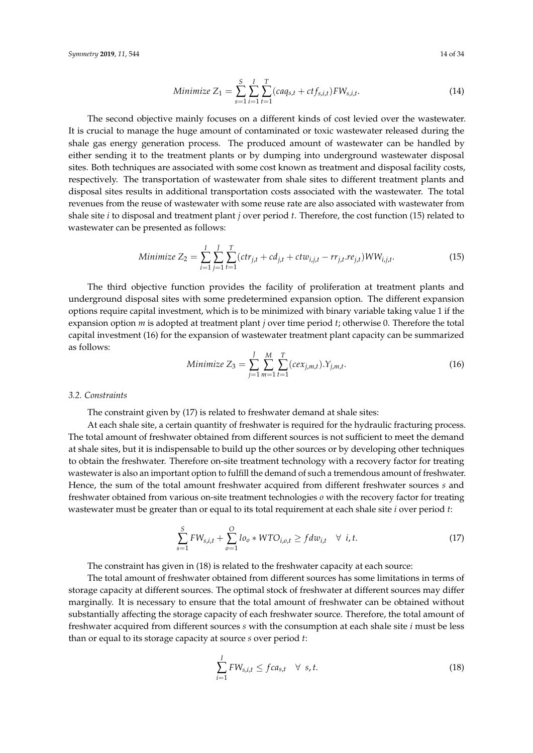*Symmetry* **2019**, 11, 544 14 of 34

Minimize 
$$
Z_1 = \sum_{s=1}^{S} \sum_{i=1}^{I} \sum_{t=1}^{T} (caq_{s,t} + ctf_{s,i,t})FW_{s,i,t}.
$$
 (14)

The second objective mainly focuses on a different kinds of cost levied over the wastewater. It is crucial to manage the huge amount of contaminated or toxic wastewater released during the shale gas energy generation process. The produced amount of wastewater can be handled by either sending it to the treatment plants or by dumping into underground wastewater disposal sites. Both techniques are associated with some cost known as treatment and disposal facility costs, respectively. The transportation of wastewater from shale sites to different treatment plants and disposal sites results in additional transportation costs associated with the wastewater. The total revenues from the reuse of wastewater with some reuse rate are also associated with wastewater from shale site *i* to disposal and treatment plant *j* over period *t*. Therefore, the cost function (15) related to wastewater can be presented as follows:

Minimize 
$$
Z_2 = \sum_{i=1}^{I} \sum_{j=1}^{J} \sum_{t=1}^{T} (ctr_{j,t} + cd_{j,t} + ctw_{i,j,t} - rr_{j,t}.re_{j,t})WW_{i,j,t}.
$$
 (15)

The third objective function provides the facility of proliferation at treatment plants and underground disposal sites with some predetermined expansion option. The different expansion options require capital investment, which is to be minimized with binary variable taking value 1 if the expansion option *m* is adopted at treatment plant *j* over time period *t*; otherwise 0. Therefore the total capital investment (16) for the expansion of wastewater treatment plant capacity can be summarized as follows:

Minimize 
$$
Z_3 = \sum_{j=1}^{J} \sum_{m=1}^{M} \sum_{t=1}^{T} (cex_{j,m,t}).Y_{j,m,t}.
$$
 (16)

#### *3.2. Constraints*

The constraint given by (17) is related to freshwater demand at shale sites:

At each shale site, a certain quantity of freshwater is required for the hydraulic fracturing process. The total amount of freshwater obtained from different sources is not sufficient to meet the demand at shale sites, but it is indispensable to build up the other sources or by developing other techniques to obtain the freshwater. Therefore on-site treatment technology with a recovery factor for treating wastewater is also an important option to fulfill the demand of such a tremendous amount of freshwater. Hence, the sum of the total amount freshwater acquired from different freshwater sources *s* and freshwater obtained from various on-site treatment technologies *o* with the recovery factor for treating wastewater must be greater than or equal to its total requirement at each shale site *i* over period *t*:

$$
\sum_{s=1}^{S} FW_{s,i,t} + \sum_{o=1}^{O} lo_o * WTO_{i,o,t} \geq fdw_{i,t} \quad \forall \ i, t.
$$
 (17)

The constraint has given in (18) is related to the freshwater capacity at each source:

The total amount of freshwater obtained from different sources has some limitations in terms of storage capacity at different sources. The optimal stock of freshwater at different sources may differ marginally. It is necessary to ensure that the total amount of freshwater can be obtained without substantially affecting the storage capacity of each freshwater source. Therefore, the total amount of freshwater acquired from different sources *s* with the consumption at each shale site *i* must be less than or equal to its storage capacity at source *s* over period *t*:

$$
\sum_{i=1}^{I} FW_{s,i,t} \leq fca_{s,t} \quad \forall \ s,t.
$$
\n(18)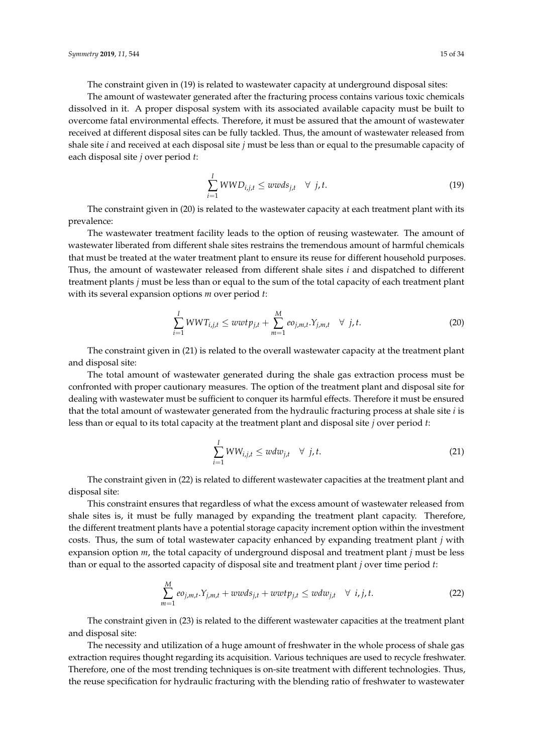The constraint given in (19) is related to wastewater capacity at underground disposal sites:

The amount of wastewater generated after the fracturing process contains various toxic chemicals dissolved in it. A proper disposal system with its associated available capacity must be built to overcome fatal environmental effects. Therefore, it must be assured that the amount of wastewater received at different disposal sites can be fully tackled. Thus, the amount of wastewater released from shale site *i* and received at each disposal site *j* must be less than or equal to the presumable capacity of each disposal site *j* over period *t*:

$$
\sum_{i=1}^{I} WWD_{i,j,t} \leq wwds_{j,t} \quad \forall \ j,t.
$$
\n(19)

The constraint given in (20) is related to the wastewater capacity at each treatment plant with its prevalence:

The wastewater treatment facility leads to the option of reusing wastewater. The amount of wastewater liberated from different shale sites restrains the tremendous amount of harmful chemicals that must be treated at the water treatment plant to ensure its reuse for different household purposes. Thus, the amount of wastewater released from different shale sites *i* and dispatched to different treatment plants *j* must be less than or equal to the sum of the total capacity of each treatment plant with its several expansion options *m* over period *t*:

$$
\sum_{i=1}^{I} WWT_{i,j,t} \leq wwt p_{j,t} + \sum_{m=1}^{M} eo_{j,m,t}.Y_{j,m,t} \quad \forall \ j,t.
$$
 (20)

The constraint given in (21) is related to the overall wastewater capacity at the treatment plant and disposal site:

The total amount of wastewater generated during the shale gas extraction process must be confronted with proper cautionary measures. The option of the treatment plant and disposal site for dealing with wastewater must be sufficient to conquer its harmful effects. Therefore it must be ensured that the total amount of wastewater generated from the hydraulic fracturing process at shale site *i* is less than or equal to its total capacity at the treatment plant and disposal site *j* over period *t*:

$$
\sum_{i=1}^{I} WW_{i,j,t} \le wdw_{j,t} \quad \forall \ j,t.
$$
\n(21)

The constraint given in (22) is related to different wastewater capacities at the treatment plant and disposal site:

This constraint ensures that regardless of what the excess amount of wastewater released from shale sites is, it must be fully managed by expanding the treatment plant capacity. Therefore, the different treatment plants have a potential storage capacity increment option within the investment costs. Thus, the sum of total wastewater capacity enhanced by expanding treatment plant *j* with expansion option *m*, the total capacity of underground disposal and treatment plant *j* must be less than or equal to the assorted capacity of disposal site and treatment plant *j* over time period *t*:

$$
\sum_{m=1}^{M} e_{j,m,t} Y_{j,m,t} + w w ds_{j,t} + w w t p_{j,t} \leq w dw_{j,t} \quad \forall \ i, j, t.
$$
 (22)

The constraint given in (23) is related to the different wastewater capacities at the treatment plant and disposal site:

The necessity and utilization of a huge amount of freshwater in the whole process of shale gas extraction requires thought regarding its acquisition. Various techniques are used to recycle freshwater. Therefore, one of the most trending techniques is on-site treatment with different technologies. Thus, the reuse specification for hydraulic fracturing with the blending ratio of freshwater to wastewater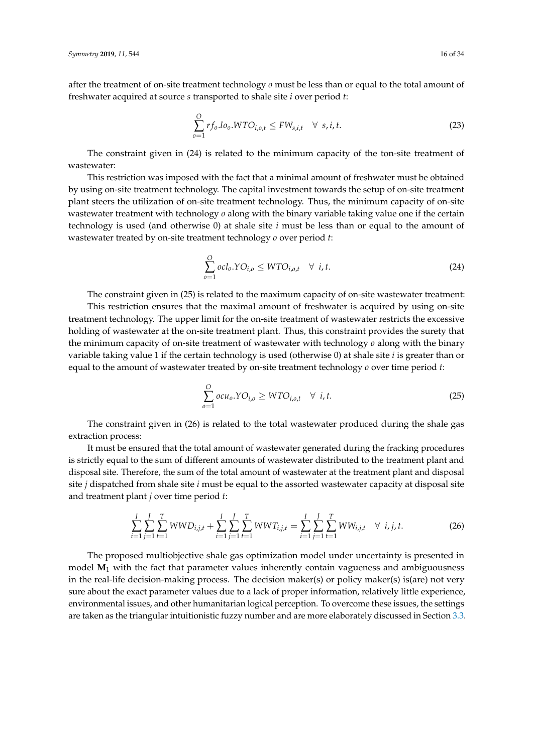after the treatment of on-site treatment technology *o* must be less than or equal to the total amount of freshwater acquired at source *s* transported to shale site *i* over period *t*:

$$
\sum_{o=1}^{O} r f_o \cdot l o_o. WTO_{i,o,t} \leq FW_{s,i,t} \quad \forall \ s, i, t.
$$
\n(23)

The constraint given in (24) is related to the minimum capacity of the ton-site treatment of wastewater:

This restriction was imposed with the fact that a minimal amount of freshwater must be obtained by using on-site treatment technology. The capital investment towards the setup of on-site treatment plant steers the utilization of on-site treatment technology. Thus, the minimum capacity of on-site wastewater treatment with technology *o* along with the binary variable taking value one if the certain technology is used (and otherwise 0) at shale site *i* must be less than or equal to the amount of wastewater treated by on-site treatment technology *o* over period *t*:

$$
\sum_{o=1}^{O} ocl_o.YO_{i,o} \le WTO_{i,o,t} \quad \forall \ i, t.
$$
\n(24)

The constraint given in (25) is related to the maximum capacity of on-site wastewater treatment:

This restriction ensures that the maximal amount of freshwater is acquired by using on-site treatment technology. The upper limit for the on-site treatment of wastewater restricts the excessive holding of wastewater at the on-site treatment plant. Thus, this constraint provides the surety that the minimum capacity of on-site treatment of wastewater with technology *o* along with the binary variable taking value 1 if the certain technology is used (otherwise 0) at shale site *i* is greater than or equal to the amount of wastewater treated by on-site treatment technology *o* over time period *t*:

$$
\sum_{o=1}^{O} ocu_o. YO_{i,o} \geq WTO_{i,o,t} \quad \forall \ i, t.
$$
\n(25)

The constraint given in (26) is related to the total wastewater produced during the shale gas extraction process:

It must be ensured that the total amount of wastewater generated during the fracking procedures is strictly equal to the sum of different amounts of wastewater distributed to the treatment plant and disposal site. Therefore, the sum of the total amount of wastewater at the treatment plant and disposal site *j* dispatched from shale site *i* must be equal to the assorted wastewater capacity at disposal site and treatment plant *j* over time period *t*:

$$
\sum_{i=1}^{I} \sum_{j=1}^{J} \sum_{t=1}^{T} WWD_{i,j,t} + \sum_{i=1}^{I} \sum_{j=1}^{J} \sum_{t=1}^{T} WWT_{i,j,t} = \sum_{i=1}^{I} \sum_{j=1}^{J} \sum_{t=1}^{T} WW_{i,j,t} \quad \forall i,j,t.
$$
 (26)

The proposed multiobjective shale gas optimization model under uncertainty is presented in model **M**<sup>1</sup> with the fact that parameter values inherently contain vagueness and ambiguousness in the real-life decision-making process. The decision maker(s) or policy maker(s) is(are) not very sure about the exact parameter values due to a lack of proper information, relatively little experience, environmental issues, and other humanitarian logical perception. To overcome these issues, the settings are taken as the triangular intuitionistic fuzzy number and are more elaborately discussed in Section [3.3.](#page-17-0)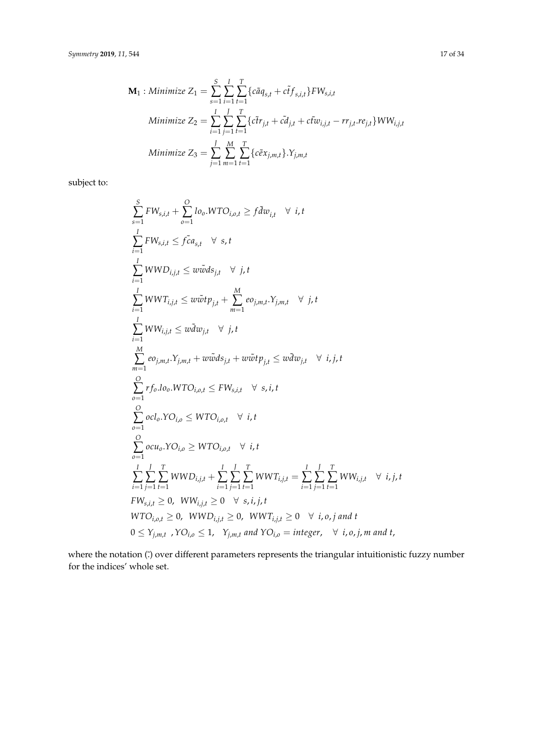$$
\mathbf{M}_{1}: Minimize Z_{1} = \sum_{s=1}^{S} \sum_{i=1}^{I} \sum_{t=1}^{T} \{c\tilde{a}q_{s,t} + c\tilde{t}f_{s,i,t}\}FW_{s,i,t}
$$
\n
$$
Minimize Z_{2} = \sum_{i=1}^{I} \sum_{j=1}^{I} \sum_{t=1}^{T} \{c\tilde{t}r_{j,t} + c\tilde{t}q_{j,t} + c\tilde{t}w_{i,j,t} - rr_{j,t}.re_{j,t}\} WW_{i,j,t}
$$
\n
$$
Minimize Z_{3} = \sum_{j=1}^{I} \sum_{m=1}^{M} \sum_{t=1}^{T} \{c\tilde{e}x_{j,m,t}\} \cdot Y_{j,m,t}
$$

subject to:

$$
\sum_{s=1}^{S} FW_{s,i,t} + \sum_{o=1}^{O} lo_o.WTO_{i,o,t} \ge f\tilde{d}w_{i,t} \quad \forall i, t
$$
\n
$$
\sum_{i=1}^{I} FW_{s,i,t} \le f\tilde{c}a_{s,t} \quad \forall s,t
$$
\n
$$
\sum_{i=1}^{I} WWD_{i,j,t} \le w\tilde{w}ds_{j,t} \quad \forall j,t
$$
\n
$$
\sum_{i=1}^{I} WWT_{i,j,t} \le w\tilde{w}tp_{j,t} + \sum_{m=1}^{M} eo_{j,m,t}.Y_{j,m,t} \quad \forall j,t
$$
\n
$$
\sum_{i=1}^{I} WW_{i,j,t} \le w\tilde{d}w_{j,t} \quad \forall j,t
$$
\n
$$
\sum_{m=1}^{M} eo_{j,m,t}.Y_{j,m,t} + w\tilde{w}ds_{j,t} + w\tilde{w}tp_{j,t} \le w\tilde{d}w_{j,t} \quad \forall i,j,t
$$
\n
$$
\sum_{o=1}^{O} rf_o Io_o.WTO_{i,o,t} \le FW_{s,i,t} \quad \forall s,i,t
$$
\n
$$
\sum_{o=1}^{O} ocl_o.YO_{i,o} \le WTO_{i,o,t} \quad \forall i,t
$$
\n
$$
\sum_{o=1}^{I} \sum_{j=1}^{I} \sum_{t=1}^{I} WWD_{i,j,t} + \sum_{i=1}^{I} \sum_{j=1}^{I} \sum_{t=1}^{I} WWT_{i,j,t} = \sum_{i=1}^{I} \sum_{j=1}^{I} CWW_{i,j,t} \quad \forall i,j,t
$$
\n
$$
FW_{s,i,t} \ge 0, WW_{i,j,t} \ge 0, WWT_{i,j,t} \ge 0, WWT_{i,j,t} \ge 0 \quad \forall i,o,j \text{ and } t
$$
\n
$$
0 \le Y_{j,m,t} \quad \forall O_{i,o} \le 1, Y_{j,m,t} \text{ and } YO_{i,o} = \text{integer}, \quad \forall i,o,j \text{ and } t
$$

where the notation ( $\ddot{\cdot}$ ) over different parameters represents the triangular intuitionistic fuzzy number for the indices' whole set.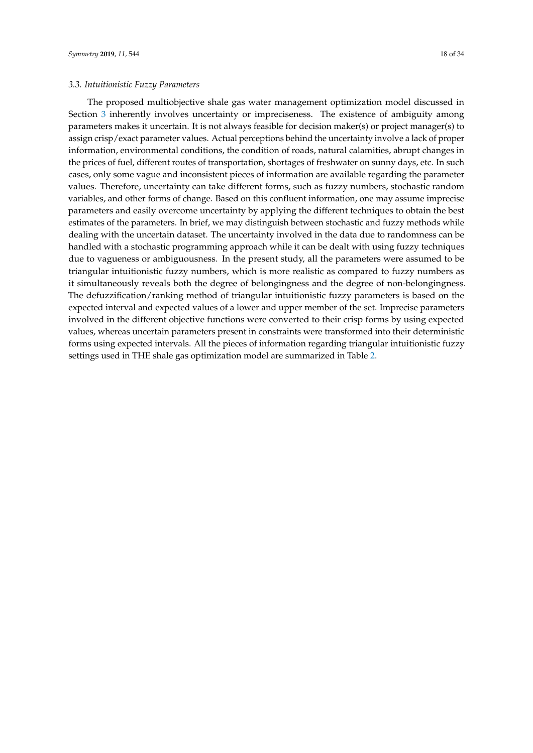<span id="page-17-0"></span>The proposed multiobjective shale gas water management optimization model discussed in Section [3](#page-10-0) inherently involves uncertainty or impreciseness. The existence of ambiguity among parameters makes it uncertain. It is not always feasible for decision maker(s) or project manager(s) to assign crisp/exact parameter values. Actual perceptions behind the uncertainty involve a lack of proper information, environmental conditions, the condition of roads, natural calamities, abrupt changes in the prices of fuel, different routes of transportation, shortages of freshwater on sunny days, etc. In such cases, only some vague and inconsistent pieces of information are available regarding the parameter values. Therefore, uncertainty can take different forms, such as fuzzy numbers, stochastic random variables, and other forms of change. Based on this confluent information, one may assume imprecise parameters and easily overcome uncertainty by applying the different techniques to obtain the best estimates of the parameters. In brief, we may distinguish between stochastic and fuzzy methods while dealing with the uncertain dataset. The uncertainty involved in the data due to randomness can be handled with a stochastic programming approach while it can be dealt with using fuzzy techniques due to vagueness or ambiguousness. In the present study, all the parameters were assumed to be triangular intuitionistic fuzzy numbers, which is more realistic as compared to fuzzy numbers as it simultaneously reveals both the degree of belongingness and the degree of non-belongingness. The defuzzification/ranking method of triangular intuitionistic fuzzy parameters is based on the expected interval and expected values of a lower and upper member of the set. Imprecise parameters involved in the different objective functions were converted to their crisp forms by using expected values, whereas uncertain parameters present in constraints were transformed into their deterministic forms using expected intervals. All the pieces of information regarding triangular intuitionistic fuzzy settings used in THE shale gas optimization model are summarized in Table [2.](#page-18-0)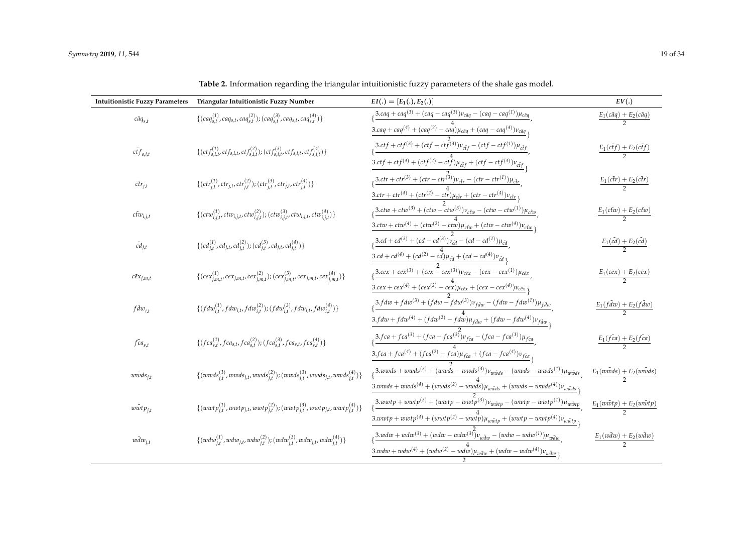<span id="page-18-0"></span>

| $\frac{1}{2}$ caq + caq <sup>(3)</sup> + (caq – caq <sup>(3)</sup> ) $v_{c\tilde{a}q}$ – (caq – caq <sup>(1)</sup> ) $\mu_{c\tilde{a}q}$<br>{ $(c a q_{s,t}^{(1)}, ca q_{s,t}, ca q_{s,t}^{(2)})$ ; $(c a q_{s,t}^{(3)}, ca q_{s,t}, ca q_{s,t}^{(4)})$ }<br>$c\tilde{a}q_{s,t}$<br>$\frac{3.caq + caq^{(4)} + (caq^{(2)} - caq)\mu_{c\bar{a}q} + (caq - caq^{(4)})\nu_{c\bar{a}q}}{2}$<br>$\int_{\xi}$ 3.ctf + ctf <sup>(3)</sup> + (ctf - ctf <sup>(3)</sup> ) $v_{cif}$ - (ctf - ctf <sup>(1)</sup> ) $\mu_{cif}$<br>$\{(ctf_{s,i,t}^{(1)}, ctf_{s,i,t}, ctf_{s,i,t}^{(2)}); (ctf_{s,i,t}^{(3)}, ctf_{s,i,t}, ctf_{s,i,t}^{(4)})\}$<br>$\tilde{eff}_{s,i,t}$<br>$3. c t f + c t f^{(4)} + (c t f^{(2)} - c t \hat{f}) \mu_{c \tilde{t} f} + (c t f - c t f^{(4)}) \nu_{c \tilde{t} f}$ | $E_1(c\tilde{a}q) + E_2(c\tilde{a}q)$<br>$\overline{2}$<br>$E_1(c\tilde{t}f) + E_2(c\tilde{t}f)$ |
|-------------------------------------------------------------------------------------------------------------------------------------------------------------------------------------------------------------------------------------------------------------------------------------------------------------------------------------------------------------------------------------------------------------------------------------------------------------------------------------------------------------------------------------------------------------------------------------------------------------------------------------------------------------------------------------------------------------------------------------------------------------------------------------------|--------------------------------------------------------------------------------------------------|
|                                                                                                                                                                                                                                                                                                                                                                                                                                                                                                                                                                                                                                                                                                                                                                                           |                                                                                                  |
|                                                                                                                                                                                                                                                                                                                                                                                                                                                                                                                                                                                                                                                                                                                                                                                           |                                                                                                  |
|                                                                                                                                                                                                                                                                                                                                                                                                                                                                                                                                                                                                                                                                                                                                                                                           |                                                                                                  |
|                                                                                                                                                                                                                                                                                                                                                                                                                                                                                                                                                                                                                                                                                                                                                                                           |                                                                                                  |
| $\frac{3.ctr+ctr^{(3)}+(ctr-ctr^{(3)})v_{cir}-(ctr-ctr^{(1)})\mu_{cir}}{1}$<br>$\{(ctr^{(1)}_{i,t},ctr_{j,t},ctr^{(2)}_{i,t}); (ctr^{(3)}_{i,t},ctr_{j,t},ctr^{(4)}_{i,t})\}$<br>$\tilde{ctr}_{j,t}$                                                                                                                                                                                                                                                                                                                                                                                                                                                                                                                                                                                      | $\frac{E_1(c\tilde{t}r)+E_2(c\tilde{t}r)}{2}$                                                    |
| $\frac{3.ctr + ctr^{(4)} + (ctr^{(2)} - c\dot{tr})\mu_{\tilde{ctr}} + (ctr - c\dot{tr}^{(4)})\nu_{\tilde{ctr}}}{h}$                                                                                                                                                                                                                                                                                                                                                                                                                                                                                                                                                                                                                                                                       |                                                                                                  |
| $\frac{3.ctw + ctw^{(3)} + (ctw - ctw^{(3)})v_{ctw} - (ctw - ctw^{(1)})\mu_{ctw}}{2}$<br>$\{ (ctw_{i,j,t}^{(1)}, ctw_{i,j,t}, ctw_{i,j,t}^{(2)}); (ctw_{i,j,t}^{(3)}, ctw_{i,j,t}, ctw_{i,j,t}^{(4)}) \}$<br>$c\tilde{t}w_{i,j,t}$                                                                                                                                                                                                                                                                                                                                                                                                                                                                                                                                                        | $\frac{E_1(c\tilde{t}w) + E_2(c\tilde{t}w)}{2}$                                                  |
| $\frac{3.ctw + ctw^{(4)} + (ctw^{(2)} - ctw)\mu_{c\bar{t}w} + (ctw - ctw^{(4)})\nu_{c\bar{t}w}}{2}$                                                                                                                                                                                                                                                                                                                                                                                                                                                                                                                                                                                                                                                                                       |                                                                                                  |
| $\sqrt{3-cd+c d^{(3)} + (cd - cd^{(3)})\tilde{v_{cd}} - (cd - cd^{(1)})\mu_{cd}}$<br>$\{(cd_{i,t}^{(1)}, cd_{j,t}, cd_{i,t}^{(2)}); (cd_{i,t}^{(3)}, cd_{j,t}, cd_{i,t}^{(4)})\}$<br>$\tilde{cd}_{j,t}$                                                                                                                                                                                                                                                                                                                                                                                                                                                                                                                                                                                   | $\frac{E_1(\tilde{cd})+E_2(\tilde{cd})}{2}$                                                      |
| $\frac{3cd + cd^{(4)} + (cd^{(2)} - c\overrightarrow{d})\mu_{\tilde{c}\tilde{d}} + (cd - cd^{(4)})\nu_{\tilde{c}\tilde{d}}}{3cd + (cd - cd^{(4)})\nu_{\tilde{c}\tilde{d}}},$                                                                                                                                                                                                                                                                                                                                                                                                                                                                                                                                                                                                              |                                                                                                  |
| $\frac{3{\cdot}cex + cex^{(3)} + (cex - cex^{(3)})v_{c\tilde{e}x} - (cex - cex^{(1)})\mu_{c\tilde{e}x}}{cex - cex^{(1)}}$<br>{ $(cex_{i,m,t}^{(1)},cex_{j,m,t},cex_{i,m,t}^{(2)}); (cex_{i,m,t}^{(3)},cex_{j,m,t},cex_{i,m,t}^{(4)})\}$<br>$c\tilde{e}x_{j,m,t}$                                                                                                                                                                                                                                                                                                                                                                                                                                                                                                                          | $E_1(c\tilde{e}x) + E_2(c\tilde{e}x)$                                                            |
| $\frac{3{\cdot}c\epsilon x+{\cdot}c\epsilon x^{(4)}+({\cdot}c\epsilon x^{(2)}-{\cdot}c\epsilon x){\mu}_{c\tilde{c}x}+({\cdot}c\epsilon x-{\cdot}c\epsilon x^{(4)}){\nu}_{c\tilde{c}x}}{2}$                                                                                                                                                                                                                                                                                                                                                                                                                                                                                                                                                                                                |                                                                                                  |
| $\frac{3.fdw + fdw^{(3)} + (fdw - fdw^{(3)})v_{f\tilde{d}w} - (fdw - fdw^{(1)})\mu_{f\tilde{d}w}}{m}$<br>$\{ (f dw_{i,t}^{(1)}, f dw_{i,t}, f dw_{i,t}^{(2)}) ; (f dw_{i,t}^{(3)}, f dw_{i,t}, f dw_{i,t}^{(4)}) \}$<br>$f \tilde{d} w_{i,t}$                                                                                                                                                                                                                                                                                                                                                                                                                                                                                                                                             | $\frac{E_1(f\tilde{d}w)+E_2(f\tilde{d}w)}{2}$                                                    |
| $3.fdw + fdw^{(4)} + (fdw^{(2)} - fd\overline{w})\mu_{f\overline{d}w} + (fdw - fdw^{(4)})\nu_{f\overline{d}w}$                                                                                                                                                                                                                                                                                                                                                                                                                                                                                                                                                                                                                                                                            |                                                                                                  |
| $\frac{3. fca + fca^{(3)} + (fca - fca^{(3)})\nu_{fca} - (fca - fca^{(1)})\mu_{fca}}{2}$<br>$\{ (fca_{s,t}^{(1)}, fca_{s,t}, fca_{s,t}^{(2)}); (fca_{s,t}^{(3)}, fca_{s,t}, fca_{s,t}^{(4)}) \}$<br>$\tilde{fca}_{s,t}$                                                                                                                                                                                                                                                                                                                                                                                                                                                                                                                                                                   | $rac{E_1(f\tilde{c}a)+E_2(f\tilde{c}a)}{2}$                                                      |
| $3.fca + fca^{(4)} + (fca^{(2)} - fca) \mu_{fca} + (fca - fca^{(4)}) \nu_{fca}$                                                                                                                                                                                                                                                                                                                                                                                                                                                                                                                                                                                                                                                                                                           |                                                                                                  |
| $(\frac{3.wwds + wwds^{(3)} + (ww\bar{ds} - wwds^{(3)})v_{w\tilde{w}ds} - (wwds - wwds^{(1)})\mu_{w\tilde{w}ds})$<br>$\{(wwds_{j,t}^{(1)},wwds_{j,t},wwds_{j,t}^{(2)});(wwds_{j,t}^{(3)},wwds_{j,t},wwds_{j,t}^{(4)})\}$<br>$w\tilde{w}ds_{j,t}$                                                                                                                                                                                                                                                                                                                                                                                                                                                                                                                                          | $\underline{E_1(w\tilde{w}ds) + E_2(w\tilde{w}ds)}$                                              |
| $3. wwds + wwds^{(4)} + (wwds^{(2)} - ww\dot{ds})\mu_{w\tilde{w}ds} + (wwds - wwds^{(4)})\nu_{w\tilde{w}ds}$                                                                                                                                                                                                                                                                                                                                                                                                                                                                                                                                                                                                                                                                              |                                                                                                  |
| $3. wwtp + wwtp^{(3)} + (wwtp - wwtp^{(3)})v_{w\tilde{w}tp} - (wwtp - wwtp^{(1)})\mu_{w\tilde{w}tp}$<br>$\{ (wwtp_{j,t}^{(1)},wwtp_{j,t},wwtp_{j,t}^{(2)});(wwtp_{j,t}^{(3)},wwtp_{j,t},wwtp_{j,t}^{(4)}) \}$<br>$w\tilde{w}tp_{i,t}$                                                                                                                                                                                                                                                                                                                                                                                                                                                                                                                                                     | $\frac{E_1(w\tilde{w}tp)+E_2(w\tilde{w}tp)}{2}$                                                  |
| $3. wwtp + wwtp^{(4)} + (wwtp^{(2)} - wwtp) \mu_{w\tilde{w}tp} + (wwtp - wwtp^{(4)}) \nu_{w\tilde{w}tp}$                                                                                                                                                                                                                                                                                                                                                                                                                                                                                                                                                                                                                                                                                  |                                                                                                  |
| $\frac{1}{2} \frac{3.wdw + wdw^{(3)} + (wdw - wdw^{(3)})v_{wdw} - (wdw - wdw^{(1)})\mu_{wdw}}{2}$<br>$\{(wdw_{j,t}^{(1)}, wdw_{j,t}, wdw_{j,t}^{(2)}); (wdw_{j,t}^{(3)}, wdw_{j,t}, wdw_{j,t}^{(4)})\}$<br>$w\tilde{d}w_{j,t}$                                                                                                                                                                                                                                                                                                                                                                                                                                                                                                                                                            | $E_1(w\tilde{d}w) + E_2(w\tilde{d}w)$                                                            |
| $3.wdw + wdw^{(4)} + (wdw^{(2)} - wdw)\mu_{wdw} + (wdw - wdw^{(4)})\nu_{wdw}$                                                                                                                                                                                                                                                                                                                                                                                                                                                                                                                                                                                                                                                                                                             |                                                                                                  |

**Table 2.** Information regarding the triangular intuitionistic fuzzy parameters of the shale gas model.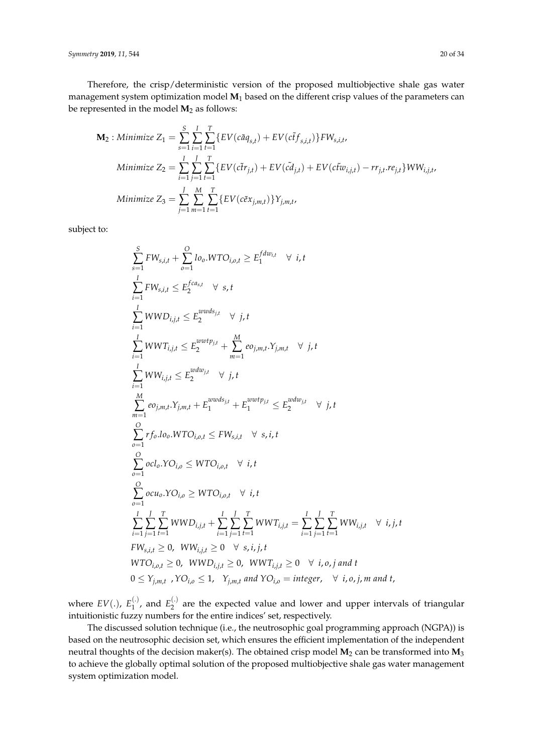*Symmetry* **2019**, *11*, 544 20 of 34

Therefore, the crisp/deterministic version of the proposed multiobjective shale gas water management system optimization model **M**<sup>1</sup> based on the different crisp values of the parameters can be represented in the model  $M_2$  as follows:

$$
\mathbf{M}_{2}: Minimize Z_{1} = \sum_{s=1}^{S} \sum_{i=1}^{I} \sum_{t=1}^{T} \{ EV(c\tilde{a}q_{s,t}) + EV(c\tilde{t}f_{s,i,t}) \} FW_{s,i,t},
$$
  
\nMinimize  $Z_{2} = \sum_{i=1}^{I} \sum_{j=1}^{J} \sum_{t=1}^{T} \{ EV(c\tilde{t}r_{j,t}) + EV(\tilde{c}\tilde{d}_{j,t}) + EV(c\tilde{t}w_{i,j,t}) - rr_{j,t}.re_{j,t} \} WW_{i,j,t},$   
\nMinimize  $Z_{3} = \sum_{j=1}^{J} \sum_{m=1}^{M} \sum_{t=1}^{T} \{ EV(c\tilde{e}x_{j,m,t}) \} Y_{j,m,t},$ 

subject to:

$$
\sum_{s=1}^{S} FW_{s,i,t} + \sum_{o=1}^{O} l_{o,o} WTO_{i,o,t} \ge E_1^{fdw_{i,t}} \forall i, t
$$
\n
$$
\sum_{i=1}^{I} FW_{s,i,t} \le E_2^{fca_{s,t}} \forall s, t
$$
\n
$$
\sum_{i=1}^{I} WWD_{i,j,t} \le E_2^{wwd_{j,t}} \forall j, t
$$
\n
$$
\sum_{i=1}^{I} WWT_{i,j,t} \le E_2^{wwtp_{j,t}} + \sum_{m=1}^{M} eo_{j,m,t}.Y_{j,m,t} \forall j, t
$$
\n
$$
\sum_{i=1}^{I} WW_{i,j,t} \le E_2^{wdw_{j,t}} \forall j, t
$$
\n
$$
\sum_{m=1}^{M} eo_{j,m,t}.Y_{j,m,t} + E_1^{wwd_{j,t}} + E_1^{wwtp_{j,t}} \le E_2^{wdw_{j,t}} \forall j, t
$$
\n
$$
\sum_{o=1}^{O} r f_o.l o_o. WTO_{i,o,t} \le FW_{s,i,t} \forall s, i, t
$$
\n
$$
\sum_{o=1}^{O} oc l_o. YO_{i,o} \le WTO_{i,o,t} \forall i, t
$$
\n
$$
\sum_{o=1}^{I} \sum_{j=1}^{I} \sum_{t=1}^{I} WWD_{i,j,t} + \sum_{i=1}^{I} \sum_{j=1}^{I} \sum_{t=1}^{I} WWT_{i,j,t} = \sum_{i=1}^{I} \sum_{j=1}^{I} \sum_{t=1}^{I} WWN_{i,j,t} \forall i, j, t
$$
\n
$$
WTO_{i,o,t} \ge 0, WW_{i,j,t} \ge 0 \forall s, i, j, t
$$
\n
$$
WTO_{i,o,t} \ge 0, WWD_{i,j,t} \ge 0, WWT_{i,j,t} \ge 0 \forall i, o, j \text{ and } t
$$
\n
$$
0 \le Y_{j,m,t}, YO_{i,o} \le 1, Y_{j,m,t} \text{ and } YO_{i,o} = \text{integer}, \forall i, o, j, m \text{ and } t,
$$

where  $EV(.)$ ,  $E_1^{(.)}$  $_1^{(.)}$ , and  $E_2^{(.)}$  $2^{(1)}$  are the expected value and lower and upper intervals of triangular intuitionistic fuzzy numbers for the entire indices' set, respectively.

The discussed solution technique (i.e., the neutrosophic goal programming approach (NGPA)) is based on the neutrosophic decision set, which ensures the efficient implementation of the independent neutral thoughts of the decision maker(s). The obtained crisp model **M**<sup>2</sup> can be transformed into **M**<sup>3</sup> to achieve the globally optimal solution of the proposed multiobjective shale gas water management system optimization model.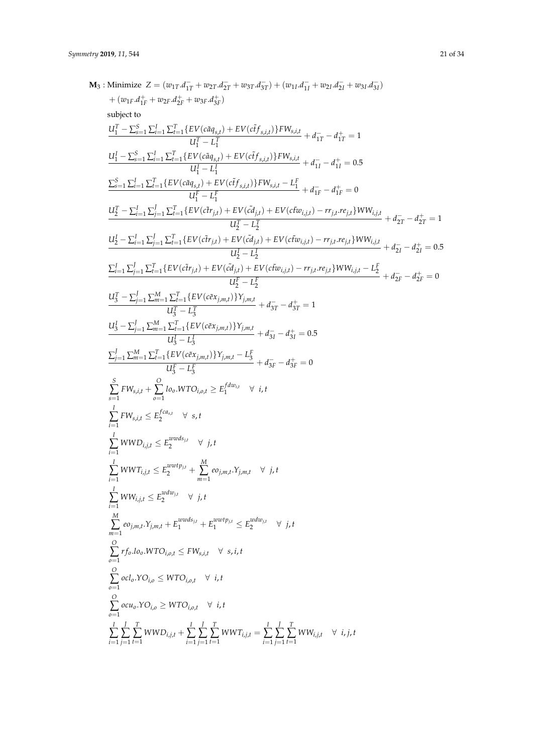**M**<sub>3</sub>: Minimize  $Z = (w_{1T}.d_{1T}^- + w_{2T}.d_{2T}^- + w_{3T}.d_{3T}^-) + (w_{1I}.d_{1I}^- + w_{2I}.d_{2I}^- + w_{3I}.d_{3I}^-)$  $+(w_{1F}.d_{1F}^+ + w_{2F}.d_{2F}^+ + w_{3F}.d_{3F}^+)$ subject to  $U_1^T - \sum_{s=1}^S \sum_{i=1}^I \sum_{t=1}^T \{EV(c\tilde{a}q_{s,t}) + EV(c\tilde{t}f_{s,t,t})\}FW_{s,t,t}$  $U_V^T$   $(u_{ij, t}^T)$  +  $U_V^T$   $(v_{ij, i, t}^T)$   $I_V^T v_{i, i, t}^T$  +  $d_{1T}^-$  -  $d_{1T}^+$  = 1 1  $U_1^I - \sum_{s=1}^S \sum_{i=1}^I \sum_{t=1}^T \{EV(c\tilde{a}q_{s,t}) + EV(c\tilde{t}f_{s,t,t})\}FW_{s,t,t}$  $U_1^I - L_1^I$  $+ d_{1I}^- - d_{1I}^+ = 0.5$  $\sum_{s=1}^{S} \sum_{i=1}^{I} \sum_{t=1}^{T} \{ EV(c\tilde{a}q_{s,t}) + EV(c\tilde{t}f_{s,i,t}) \} FW_{s,i,t} - L_{1}^{F}$  $U_1^F - L_1^F$  $+ d_{1F}^- - d_{1F}^+ = 0$  $U_2^T-\textstyle\sum_{i=1}^{I}\textstyle\sum_{j=1}^{J}\textstyle\sum_{t=1}^{T}\{EV(c\tilde{t}r_{j,t})+EV(c\tilde{t}q_{j,t})+EV(c\tilde{t}w_{i,j,t})-rr_{j,t}.re_{j,t}\}WW_{i,j,t}$  $U_2^T - L_2^T$  $+ d_{2T}^- - d_{2T}^+ = 1$  $U_2^I - \sum_{i=1}^I \sum_{j=1}^J \sum_{t=1}^T \{ EV(c \tilde{t} r_{j,t}) + EV(\tilde{c} d_{j,t}) + EV(c \tilde{t} w_{i,j,t}) - rr_{j,t}.re_{j,t} \} WW_{i,j,t}$  $U_2^I - L_2^I$  $+ d_{2I}^- - d_{2I}^+ = 0.5$  $\sum_{i=1}^I\sum_{j=1}^J\sum_{t=1}^T\{EV(c\tilde{t}r_{j,t})+EV(\tilde{c}\tilde{d}_{j,t})+EV(c\tilde{t}w_{i,j,t})-rr_{j,t}.re_{j,t}\}WW_{i,j,t}-L_2^F$  $U_2^F - L_2^F$  $+ d_{2F}^- - d_{2F}^+ = 0$  $U_3^T - \sum_{j=1}^J \sum_{m=1}^M \sum_{t=1}^T \{EV(c \tilde{e} x_{j,m,t})\} Y_{j,m,t}$  $\frac{U_t - L}{U_3^T - L_3^T}$  +  $d_{3T} - d_{3T}^+ = 1$ 3  $U_3^I - \sum_{j=1}^J \sum_{m=1}^M \sum_{t=1}^T \{EV(c \tilde{e} x_{j,m,t})\} Y_{j,m,t}$  $U_3^I - L_3^I$  $+ d_{3I}^- - d_{3I}^+ = 0.5$  $\sum_{j=1}^{J}\sum_{m=1}^{M}\sum_{t=1}^{T}\{EV(c\tilde{e}x_{j,m,t})\}Y_{j,m,t} - L_{3}^{F}$  $U_3^F - L_3^F$  $+ d_{3F}^- - d_{3F}^+ = 0$  $\sum_{s=1}^{S} FW_{s,i,t} + \sum_{o=1}^{O} Io_{o}.WTO_{i,o,t} \ge E_1^{fdw_{i,t}} \quad \forall \ i, t$  $\sum_{i=1}^{I} FW_{s,i,t} \leq E_2^{fca_{s,t}} \quad \forall \; s,t$  $\sum_{i=1}^{I} WWD_{i,j,t} \leq E_2^{wwds_{j,t}}$  $\begin{array}{cc} \alpha \omega \omega s_{j,t} & \forall j,t \ 2 & \end{array}$  $\sum_{i=1}^{I} WWT_{i,j,t} \leq E_2^{wwtp_{j,t}} + \sum_{m=1}^{M} eo_{j,m,t}.Y_{j,m,t} \quad \forall \; j,t$  $\sum_{i=1}^{I} WW_{i,j,t} \leq E_2^{wdw_{j,t}}$  $\frac{1}{2}$   $\forall$  *j*, *t*  $\sum_{m=1}^{M} e^{i\theta}$ <sub>*j*</sub>, *m*,*t*</sub> +  $E_1^{wwds_{j,t}} + E_1^{wwtp_{j,t}} \le E_2^{wdw_{j,t}}$  $\begin{array}{cc} \n\sqrt{2} & \sqrt{2} \quad t \\ \n\end{array}$ *O* ∑ *o*=1 *r fo*.*loo*.*WTOi*,*o*,*<sup>t</sup>* ≤ *FWs*,*i*,*<sup>t</sup>* ∀ *s*, *i*, *t*  $\sum_{o=1}^{O}$  *ocl*<sub>*o*</sub>.*YO*<sub>*i*,*o*</sub>  $\leq$  *WTO*<sub>*i*,*o*,*t*  $\forall$  *i*, *t*</sub>  $\sum_{\rho=1}^{O}$  *ocu*<sub>*o*</sub>.*YO*<sub>*i*,*o*</sub>  $\geq$  *WTO*<sub>*i*,*o*,*t*  $\forall$  *i*, *t*</sub> *I* ∑ *i*=1 *J* ∑ *j*=1  $\sum_{t=1}^{T} WWD_{i,j,t} + \sum_{i=1}^{I}$ *J* ∑ *j*=1  $\sum_{t=1}^{T} WWT_{i,j,t} = \sum_{i=1}^{I}$ *J* ∑ *j*=1  $\sum_{t=1}^T WW_{i,j,t} \quad \forall \ i,j,t$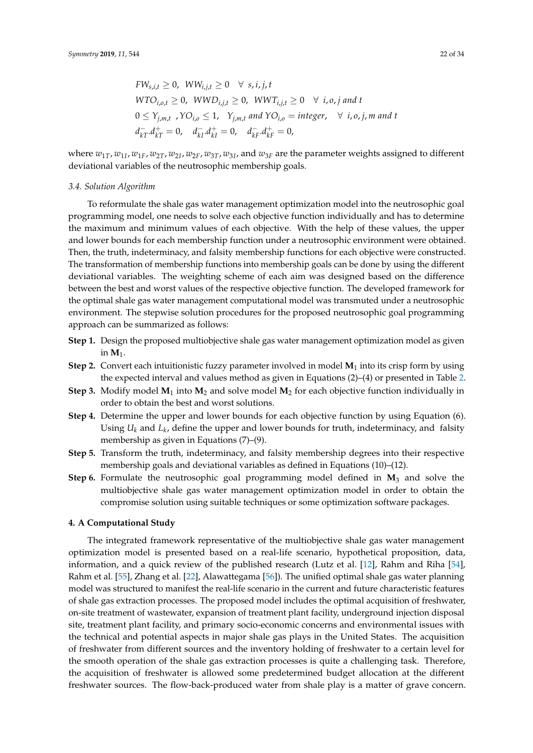$$
FW_{s,i,t} \ge 0, \quad WW_{i,j,t} \ge 0 \quad \forall \quad s,i,j,t
$$
  
\n
$$
WTO_{i,o,t} \ge 0, \quad WWD_{i,j,t} \ge 0, \quad WWT_{i,j,t} \ge 0 \quad \forall \quad i,o,j \text{ and } t
$$
  
\n
$$
0 \le Y_{j,m,t} \quad YO_{i,o} \le 1, \quad Y_{j,m,t} \text{ and } YO_{i,o} = integer, \quad \forall \quad i,o,j,m \text{ and } t
$$
  
\n
$$
d_{kT}^{-}d_{kT}^{+} = 0, \quad d_{kI}^{-}d_{kI}^{+} = 0, \quad d_{kF}^{-}d_{kF}^{+} = 0,
$$

where  $w_{1T}$ ,  $w_{1I}$ ,  $w_{1F}$ ,  $w_{2T}$ ,  $w_{2I}$ ,  $w_{2F}$ ,  $w_{3T}$ ,  $w_{3I}$ , and  $w_{3F}$  are the parameter weights assigned to different deviational variables of the neutrosophic membership goals.

### *3.4. Solution Algorithm*

To reformulate the shale gas water management optimization model into the neutrosophic goal programming model, one needs to solve each objective function individually and has to determine the maximum and minimum values of each objective. With the help of these values, the upper and lower bounds for each membership function under a neutrosophic environment were obtained. Then, the truth, indeterminacy, and falsity membership functions for each objective were constructed. The transformation of membership functions into membership goals can be done by using the different deviational variables. The weighting scheme of each aim was designed based on the difference between the best and worst values of the respective objective function. The developed framework for the optimal shale gas water management computational model was transmuted under a neutrosophic environment. The stepwise solution procedures for the proposed neutrosophic goal programming approach can be summarized as follows:

- **Step 1.** Design the proposed multiobjective shale gas water management optimization model as given in  $M_1$ .
- **Step 2.** Convert each intuitionistic fuzzy parameter involved in model  $M_1$  into its crisp form by using the expected interval and values method as given in Equations (2)–(4) or presented in Table [2.](#page-18-0)
- **Step 3.** Modify model  $M_1$  into  $M_2$  and solve model  $M_2$  for each objective function individually in order to obtain the best and worst solutions.
- **Step 4.** Determine the upper and lower bounds for each objective function by using Equation (6). Using  $U_k$  and  $L_k$ , define the upper and lower bounds for truth, indeterminacy, and falsity membership as given in Equations (7)–(9).
- **Step 5.** Transform the truth, indeterminacy, and falsity membership degrees into their respective membership goals and deviational variables as defined in Equations (10)–(12).
- **Step 6.** Formulate the neutrosophic goal programming model defined in **M**<sup>3</sup> and solve the multiobjective shale gas water management optimization model in order to obtain the compromise solution using suitable techniques or some optimization software packages.

## <span id="page-21-0"></span>**4. A Computational Study**

The integrated framework representative of the multiobjective shale gas water management optimization model is presented based on a real-life scenario, hypothetical proposition, data, information, and a quick review of the published research (Lutz et al. [\[12\]](#page-31-7), Rahm and Riha [\[54\]](#page-33-3), Rahm et al. [\[55\]](#page-33-4), Zhang et al. [\[22\]](#page-31-17), Alawattegama [\[56\]](#page-33-5)). The unified optimal shale gas water planning model was structured to manifest the real-life scenario in the current and future characteristic features of shale gas extraction processes. The proposed model includes the optimal acquisition of freshwater, on-site treatment of wastewater, expansion of treatment plant facility, underground injection disposal site, treatment plant facility, and primary socio-economic concerns and environmental issues with the technical and potential aspects in major shale gas plays in the United States. The acquisition of freshwater from different sources and the inventory holding of freshwater to a certain level for the smooth operation of the shale gas extraction processes is quite a challenging task. Therefore, the acquisition of freshwater is allowed some predetermined budget allocation at the different freshwater sources. The flow-back-produced water from shale play is a matter of grave concern.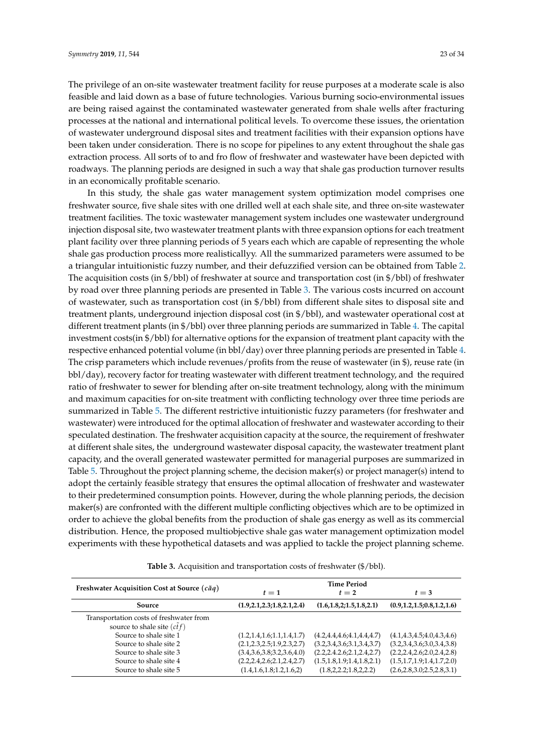The privilege of an on-site wastewater treatment facility for reuse purposes at a moderate scale is also feasible and laid down as a base of future technologies. Various burning socio-environmental issues are being raised against the contaminated wastewater generated from shale wells after fracturing processes at the national and international political levels. To overcome these issues, the orientation of wastewater underground disposal sites and treatment facilities with their expansion options have been taken under consideration. There is no scope for pipelines to any extent throughout the shale gas extraction process. All sorts of to and fro flow of freshwater and wastewater have been depicted with roadways. The planning periods are designed in such a way that shale gas production turnover results in an economically profitable scenario.

In this study, the shale gas water management system optimization model comprises one freshwater source, five shale sites with one drilled well at each shale site, and three on-site wastewater treatment facilities. The toxic wastewater management system includes one wastewater underground injection disposal site, two wastewater treatment plants with three expansion options for each treatment plant facility over three planning periods of 5 years each which are capable of representing the whole shale gas production process more realisticallyy. All the summarized parameters were assumed to be a triangular intuitionistic fuzzy number, and their defuzzified version can be obtained from Table [2.](#page-18-0) The acquisition costs (in  $\frac{6}{5}$ bbl) of freshwater at source and transportation cost (in  $\frac{6}{5}$ bbl) of freshwater by road over three planning periods are presented in Table [3.](#page-22-0) The various costs incurred on account of wastewater, such as transportation cost (in \$/bbl) from different shale sites to disposal site and treatment plants, underground injection disposal cost (in \$/bbl), and wastewater operational cost at different treatment plants (in \$/bbl) over three planning periods are summarized in Table [4.](#page-23-0) The capital investment costs(in \$/bbl) for alternative options for the expansion of treatment plant capacity with the respective enhanced potential volume (in bbl/day) over three planning periods are presented in Table [4.](#page-23-0) The crisp parameters which include revenues/profits from the reuse of wastewater (in \$), reuse rate (in bbl/day), recovery factor for treating wastewater with different treatment technology, and the required ratio of freshwater to sewer for blending after on-site treatment technology, along with the minimum and maximum capacities for on-site treatment with conflicting technology over three time periods are summarized in Table [5.](#page-24-0) The different restrictive intuitionistic fuzzy parameters (for freshwater and wastewater) were introduced for the optimal allocation of freshwater and wastewater according to their speculated destination. The freshwater acquisition capacity at the source, the requirement of freshwater at different shale sites, the underground wastewater disposal capacity, the wastewater treatment plant capacity, and the overall generated wastewater permitted for managerial purposes are summarized in Table [5.](#page-24-0) Throughout the project planning scheme, the decision maker(s) or project manager(s) intend to adopt the certainly feasible strategy that ensures the optimal allocation of freshwater and wastewater to their predetermined consumption points. However, during the whole planning periods, the decision maker(s) are confronted with the different multiple conflicting objectives which are to be optimized in order to achieve the global benefits from the production of shale gas energy as well as its commercial distribution. Hence, the proposed multiobjective shale gas water management optimization model experiments with these hypothetical datasets and was applied to tackle the project planning scheme.

<span id="page-22-0"></span>

| Freshwater Acquisition Cost at Source (cãq)                                                                                                                                                                         | $t=1$                                                                                                                                                           | <b>Time Period</b><br>$t=2$                                                                                                                             | $t=3$                                                                                                                                                             |
|---------------------------------------------------------------------------------------------------------------------------------------------------------------------------------------------------------------------|-----------------------------------------------------------------------------------------------------------------------------------------------------------------|---------------------------------------------------------------------------------------------------------------------------------------------------------|-------------------------------------------------------------------------------------------------------------------------------------------------------------------|
| Source                                                                                                                                                                                                              | (1.9, 2.1, 2.3, 1.8, 2.1, 2.4)                                                                                                                                  | (1.6, 1.8, 2; 1.5, 1.8, 2.1)                                                                                                                            | (0.9, 1.2, 1.5, 0.8, 1.2, 1.6)                                                                                                                                    |
| Transportation costs of freshwater from<br>source to shale site $(c \tilde{t} f)$<br>Source to shale site 1<br>Source to shale site 2<br>Source to shale site 3<br>Source to shale site 4<br>Source to shale site 5 | (1.2, 1.4, 1.6, 1.1, 1.4, 1.7)<br>(2.1, 2.3, 2.5, 1.9, 2.3, 2.7)<br>(3.4,3.6,3.8,3.2,3.6,4.0)<br>(2.2, 2.4, 2.6, 2.1, 2.4, 2.7)<br>(1.4, 1.6, 1.8, 1.2, 1.6, 2) | (4.2, 4.4, 4.6, 4.1, 4.4, 4.7)<br>(3.2,3.4,3.6;3.1,3.4,3.7)<br>(2.2, 2.4.2.6; 2.1, 2.4, 2.7)<br>(1.5, 1.8, 1.9, 1.4, 1.8, 2.1)<br>(1.8,2,2.2;1.8,2,2.2) | (4.1, 4.3, 4.5, 4.0, 4.3, 4.6)<br>(3.2,3.4,3.6,3.0,3.4,3.8)<br>(2.2, 2.4, 2.6, 2.0, 2.4, 2.8)<br>(1.5, 1.7, 1.9, 1.4, 1.7, 2.0)<br>(2.6, 2.8, 3.0, 2.5, 2.8, 3.1) |

**Table 3.** Acquisition and transportation costs of freshwater (\$/bbl).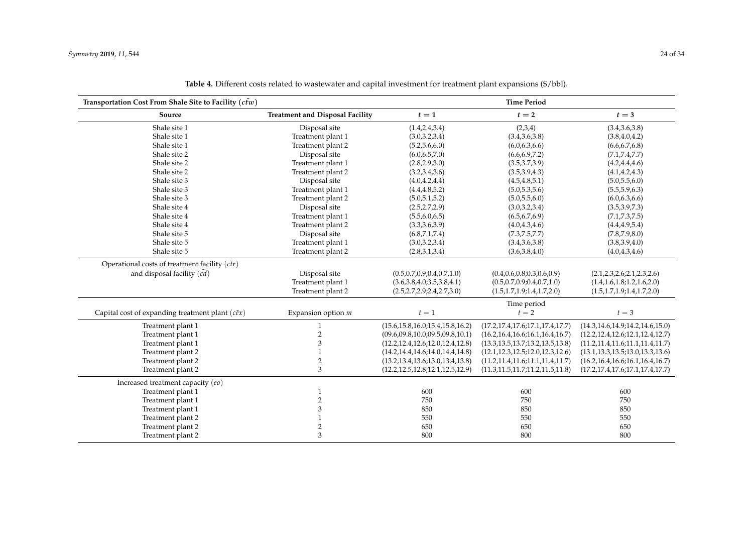<span id="page-23-0"></span>

| Transportation Cost From Shale Site to Facility ( $c\tilde{t}w$ ) |                                        | <b>Time Period</b>                   |                                      |                                      |
|-------------------------------------------------------------------|----------------------------------------|--------------------------------------|--------------------------------------|--------------------------------------|
| Source                                                            | <b>Treatment and Disposal Facility</b> | $t=1$                                | $t=2$                                | $t=3$                                |
| Shale site 1                                                      | Disposal site                          | (1.4, 2.4, 3.4)                      | (2,3,4)                              | (3.4, 3.6, 3.8)                      |
| Shale site 1                                                      | Treatment plant 1                      | (3.0,3.2,3.4)                        | (3.4, 3.6, 3.8)                      | (3.8, 4.0, 4.2)                      |
| Shale site 1                                                      | Treatment plant 2                      | (5.2, 5.6, 6.0)                      | (6.0, 6.3, 6.6)                      | (6.6, 6.7, 6.8)                      |
| Shale site 2                                                      | Disposal site                          | (6.0, 6.5, 7.0)                      | (6.6, 6.9, 7.2)                      | (7.1, 7.4, 7.7)                      |
| Shale site 2                                                      | Treatment plant 1                      | (2.8, 2.9, 3.0)                      | (3.5,3.7,3.9)                        | (4.2, 4.4, 4.6)                      |
| Shale site 2                                                      | Treatment plant 2                      | (3.2,3.4,3.6)                        | (3.5,3.9,4.3)                        | (4.1, 4.2, 4.3)                      |
| Shale site 3                                                      | Disposal site                          | (4.0, 4.2, 4.4)                      | (4.5, 4.8, 5.1)                      | (5.0, 5.5, 6.0)                      |
| Shale site 3                                                      | Treatment plant 1                      | (4.4, 4.8, 5.2)                      | (5.0, 5.3, 5.6)                      | (5.5, 5.9, 6.3)                      |
| Shale site 3                                                      | Treatment plant 2                      | (5.0, 5.1, 5.2)                      | (5.0, 5.5, 6.0)                      | (6.0, 6.3, 6.6)                      |
| Shale site 4                                                      | Disposal site                          | (2.5, 2.7, 2.9)                      | (3.0,3.2,3.4)                        | (3.5,3.9,7.3)                        |
| Shale site 4                                                      | Treatment plant 1                      | (5.5,6.0,6.5)                        | (6.5, 6.7, 6.9)                      | (7.1, 7.3, 7.5)                      |
| Shale site 4                                                      | Treatment plant 2                      | (3.3,3.6,3.9)                        | (4.0, 4.3, 4.6)                      | (4.4, 4.9, 5.4)                      |
| Shale site 5                                                      | Disposal site                          | (6.8,7.1,7.4)                        | (7.3, 7.5, 7.7)                      | (7.8, 7.9, 8.0)                      |
| Shale site 5                                                      | Treatment plant 1                      | (3.0,3.2,3.4)                        | (3.4, 3.6, 3.8)                      | (3.8,3.9,4.0)                        |
| Shale site 5                                                      | Treatment plant 2                      | (2.8,3.1,3.4)                        | (3.6, 3.8, 4.0)                      | (4.0, 4.3, 4.6)                      |
| Operational costs of treatment facility $(c\tilde{t}r)$           |                                        |                                      |                                      |                                      |
| and disposal facility $(\tilde{cd})$                              | Disposal site                          | (0.5, 0.7, 0.9, 0.4, 0.7, 1.0)       | (0.4, 0.6, 0.8, 0.3, 0.6, 0.9)       | (2.1, 2.3, 2.6, 2.1, 2.3, 2.6)       |
|                                                                   | Treatment plant 1                      | (3.6,3.8,4.0,3.5,3.8,4.1)            | (0.5, 0.7, 0.9, 0.4, 0.7, 1.0)       | (1.4, 1.6, 1.8, 1.2, 1.6, 2.0)       |
|                                                                   | Treatment plant 2                      | (2.5, 2.7, 2.9, 2.4, 2.7, 3.0)       | (1.5, 1.7, 1.9; 1.4, 1.7, 2.0)       | (1.5, 1.7, 1.9; 1.4, 1.7, 2.0)       |
|                                                                   |                                        |                                      | Time period                          |                                      |
| Capital cost of expanding treatment plant $(c \tilde{e} x)$       | Expansion option m                     | $t=1$                                | $t=2$                                | $t=3$                                |
| Treatment plant 1                                                 | $\mathbf{1}$                           | (15.6, 15.8, 16.0, 15.4, 15.8, 16.2) | (17.2, 17.4, 17.6, 17.1, 17.4, 17.7) | (14.3, 14.6, 14.9, 14.2, 14.6, 15.0) |
| Treatment plant 1                                                 | $\overline{\mathbf{c}}$                | (09.6, 09.8, 10.0, 09.5, 09.8, 10.1) | (16.2, 16.4, 16.6, 16.1, 16.4, 16.7) | (12.2, 12.4, 12.6, 12.1, 12.4, 12.7) |
| Treatment plant 1                                                 | $\ensuremath{\mathsf{3}}$              | (12.2, 12.4, 12.6, 12.0, 12.4, 12.8) | (13.3, 13.5, 13.7, 13.2, 13.5, 13.8) | (11.2, 11.4, 11.6, 11.1, 11.4, 11.7) |
| Treatment plant 2                                                 | 1                                      | (14.2, 14.4, 14.6, 14.0, 14.4, 14.8) | (12.1, 12.3, 12.5, 12.0, 12.3, 12.6) | (13.1, 13.3, 13.5, 13.0, 13.3, 13.6) |
| Treatment plant 2                                                 | $\overline{2}$                         | (13.2, 13.4, 13.6, 13.0, 13.4, 13.8) | (11.2, 11.4, 11.6; 11.1, 11.4, 11.7) | (16.2, 16.4, 16.6, 16.1, 16.4, 16.7) |
| Treatment plant 2                                                 | 3                                      | (12.2, 12.5, 12.8, 12.1, 12.5, 12.9) | (11.3, 11.5, 11.7, 11.2, 11.5, 11.8) | (17.2, 17.4, 17.6, 17.1, 17.4, 17.7) |
| Increased treatment capacity (eo)                                 |                                        |                                      |                                      |                                      |
| Treatment plant 1                                                 | $\mathbf{1}$                           | 600                                  | 600                                  | 600                                  |
| Treatment plant 1                                                 | $\overline{2}$                         | 750                                  | 750                                  | 750                                  |
| Treatment plant 1                                                 | $\ensuremath{\mathsf{3}}$              | 850                                  | 850                                  | 850                                  |
| Treatment plant 2                                                 | $\mathbf{1}$                           | 550                                  | 550                                  | 550                                  |
| Treatment plant 2                                                 | $\overline{c}$                         | 650                                  | 650                                  | 650                                  |
| Treatment plant 2                                                 | 3                                      | 800                                  | 800                                  | 800                                  |

**Table 4.** Different costs related to wastewater and capital investment for treatment plant expansions (\$/bbl).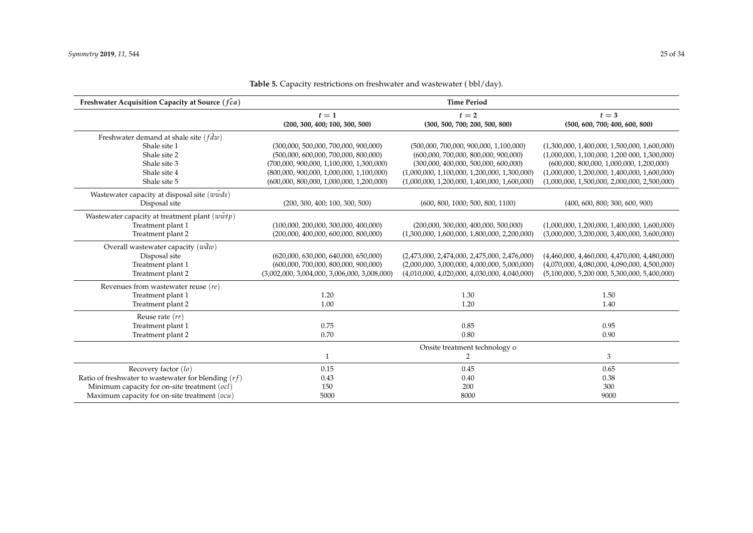<span id="page-24-0"></span>

| Freshwater Acquisition Capacity at Source (fca)         | <b>Time Period</b>                             |                                                |                                                |  |
|---------------------------------------------------------|------------------------------------------------|------------------------------------------------|------------------------------------------------|--|
|                                                         | $t=2$<br>$t=1$                                 |                                                | $t=3$                                          |  |
|                                                         | (200, 300, 400; 100, 300, 500)                 | (300, 500, 700; 200, 500, 800)                 | (500, 600, 700; 400, 600, 800)                 |  |
| Freshwater demand at shale site ( $f \tilde{d}w$ )      |                                                |                                                |                                                |  |
| Shale site 1                                            | (300,000, 500,000, 700,000, 900,000)           | $(500,000, 700,000, 900,000, 1,100,000)$       | $(1,300,000, 1,400,000, 1,500,000, 1,600,000)$ |  |
| Shale site 2                                            | (500,000, 600,000, 700,000, 800,000)           | (600,000, 700,000, 800,000, 900,000)           | $(1,000,000, 1,100,000, 1,200,000, 1,300,000)$ |  |
| Shale site 3                                            | (700,000, 900,000, 1,100,000, 1,300,000)       | (300,000, 400,000, 500,000, 600,000)           | $(600,000, 800,000, 1,000,000, 1,200,000)$     |  |
| Shale site 4                                            | $(800,000, 900,000, 1,000,000, 1,100,000)$     | $(1,000,000, 1,100,000, 1,200,000, 1,300,000)$ | $(1,000,000, 1,200,000, 1,400,000, 1,600,000)$ |  |
| Shale site 5                                            | $(600,000, 800,000, 1,000,000, 1,200,000)$     | $(1,000,000, 1,200,000, 1,400,000, 1,600,000)$ | $(1,000,000, 1,500,000, 2,000,000, 2,500,000)$ |  |
| Wastewater capacity at disposal site (wwwds)            |                                                |                                                |                                                |  |
| Disposal site                                           | (200, 300, 400; 100, 300, 500)                 | (600, 800, 1000; 500, 800, 1100)               | (400, 600, 800; 300, 600, 900)                 |  |
| Wastewater capacity at treatment plant $(w\tilde{w}tp)$ |                                                |                                                |                                                |  |
| Treatment plant 1                                       | (100,000, 200,000, 300,000, 400,000)           | (200,000, 300,000, 400,000, 500,000)           | $(1,000,000, 1,200,000, 1,400,000, 1,600,000)$ |  |
| Treatment plant 2                                       | (200,000, 400,000, 600,000, 800,000)           | $(1,300,000, 1,600,000, 1,800,000, 2,200,000)$ | $(3,000,000, 3,200,000, 3,400,000, 3,600,000)$ |  |
| Overall wastewater capacity $(w\bar{d}w)$               |                                                |                                                |                                                |  |
| Disposal site                                           | (620,000, 630,000, 640,000, 650,000)           | $(2,473,000, 2,474,000, 2,475,000, 2,476,000)$ | $(4,460,000, 4,460,000, 4,470,000, 4,480,000)$ |  |
| Treatment plant 1                                       | (600,000, 700,000, 800,000, 900,000)           | $(2,000,000, 3,000,000, 4,000,000, 5,000,000)$ | $(4,070,000, 4,080,000, 4,090,000, 4,500,000)$ |  |
| Treatment plant 2                                       | $(3,002,000, 3,004,000, 3,006,000, 3,008,000)$ | $(4,010,000, 4,020,000, 4,030,000, 4,040,000)$ | $(5,100,000, 5,200,000, 5,300,000, 5,400,000)$ |  |
| Revenues from wastewater reuse $(re)$                   |                                                |                                                |                                                |  |
| Treatment plant 1                                       | 1.20                                           | 1.30                                           | 1.50                                           |  |
| Treatment plant 2                                       | 1.00                                           | 1.20                                           | 1.40                                           |  |
| Reuse rate $(rr)$                                       |                                                |                                                |                                                |  |
| Treatment plant 1                                       | 0.75                                           | 0.85                                           | 0.95                                           |  |
| Treatment plant 2                                       | 0.70                                           | 0.80                                           | 0.90                                           |  |
|                                                         | Onsite treatment technology o                  |                                                |                                                |  |
|                                                         | $\mathbf{1}$                                   | $\overline{2}$                                 | 3                                              |  |
| Recovery factor (lo)                                    | 0.15                                           | 0.45                                           | 0.65                                           |  |
| Ratio of freshwater to wastewater for blending $(rf)$   | 0.43                                           | 0.40                                           | 0.38                                           |  |
| Minimum capacity for on-site treatment (ocl)            | 150                                            | 200                                            | 300                                            |  |
| Maximum capacity for on-site treatment $(ocu)$          | 5000                                           | 8000                                           | 9000                                           |  |

Table 5. Capacity restrictions on freshwater and wastewater (bbl/day).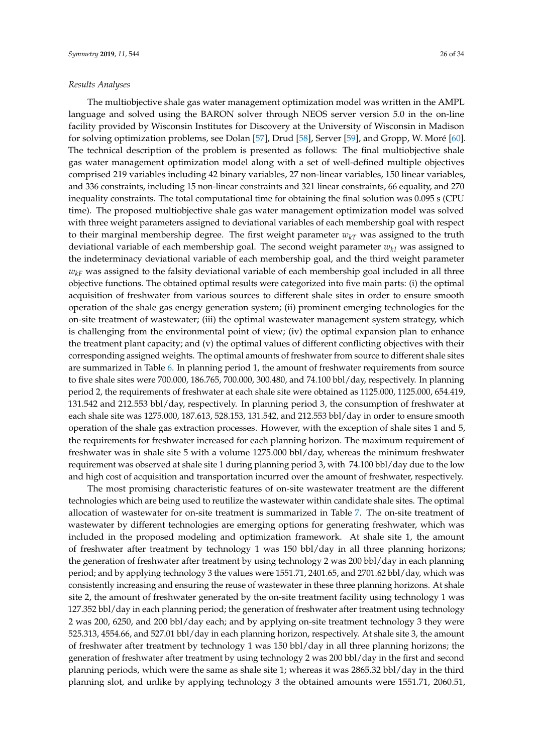## *Results Analyses*

The multiobjective shale gas water management optimization model was written in the AMPL language and solved using the BARON solver through NEOS server version 5.0 in the on-line facility provided by Wisconsin Institutes for Discovery at the University of Wisconsin in Madison for solving optimization problems, see Dolan [\[57\]](#page-33-6), Drud [\[58\]](#page-33-7), Server [\[59\]](#page-33-8), and Gropp, W. Moré [\[60\]](#page-33-9). The technical description of the problem is presented as follows: The final multiobjective shale gas water management optimization model along with a set of well-defined multiple objectives comprised 219 variables including 42 binary variables, 27 non-linear variables, 150 linear variables, and 336 constraints, including 15 non-linear constraints and 321 linear constraints, 66 equality, and 270 inequality constraints. The total computational time for obtaining the final solution was 0.095 s (CPU time). The proposed multiobjective shale gas water management optimization model was solved with three weight parameters assigned to deviational variables of each membership goal with respect to their marginal membership degree. The first weight parameter  $w_{kT}$  was assigned to the truth deviational variable of each membership goal. The second weight parameter *wkI* was assigned to the indeterminacy deviational variable of each membership goal, and the third weight parameter  $w_{kF}$  was assigned to the falsity deviational variable of each membership goal included in all three objective functions. The obtained optimal results were categorized into five main parts: (i) the optimal acquisition of freshwater from various sources to different shale sites in order to ensure smooth operation of the shale gas energy generation system; (ii) prominent emerging technologies for the on-site treatment of wastewater; (iii) the optimal wastewater management system strategy, which is challenging from the environmental point of view; (iv) the optimal expansion plan to enhance the treatment plant capacity; and (v) the optimal values of different conflicting objectives with their corresponding assigned weights. The optimal amounts of freshwater from source to different shale sites are summarized in Table [6.](#page-28-0) In planning period 1, the amount of freshwater requirements from source to five shale sites were 700.000, 186.765, 700.000, 300.480, and 74.100 bbl/day, respectively. In planning period 2, the requirements of freshwater at each shale site were obtained as 1125.000, 1125.000, 654.419, 131.542 and 212.553 bbl/day, respectively. In planning period 3, the consumption of freshwater at each shale site was 1275.000, 187.613, 528.153, 131.542, and 212.553 bbl/day in order to ensure smooth operation of the shale gas extraction processes. However, with the exception of shale sites 1 and 5, the requirements for freshwater increased for each planning horizon. The maximum requirement of freshwater was in shale site 5 with a volume 1275.000 bbl/day, whereas the minimum freshwater requirement was observed at shale site 1 during planning period 3, with 74.100 bbl/day due to the low and high cost of acquisition and transportation incurred over the amount of freshwater, respectively.

The most promising characteristic features of on-site wastewater treatment are the different technologies which are being used to reutilize the wastewater within candidate shale sites. The optimal allocation of wastewater for on-site treatment is summarized in Table [7.](#page-28-1) The on-site treatment of wastewater by different technologies are emerging options for generating freshwater, which was included in the proposed modeling and optimization framework. At shale site 1, the amount of freshwater after treatment by technology 1 was 150 bbl/day in all three planning horizons; the generation of freshwater after treatment by using technology 2 was 200 bbl/day in each planning period; and by applying technology 3 the values were 1551.71, 2401.65, and 2701.62 bbl/day, which was consistently increasing and ensuring the reuse of wastewater in these three planning horizons. At shale site 2, the amount of freshwater generated by the on-site treatment facility using technology 1 was 127.352 bbl/day in each planning period; the generation of freshwater after treatment using technology 2 was 200, 6250, and 200 bbl/day each; and by applying on-site treatment technology 3 they were 525.313, 4554.66, and 527.01 bbl/day in each planning horizon, respectively. At shale site 3, the amount of freshwater after treatment by technology 1 was 150 bbl/day in all three planning horizons; the generation of freshwater after treatment by using technology 2 was 200 bbl/day in the first and second planning periods, which were the same as shale site 1; whereas it was 2865.32 bbl/day in the third planning slot, and unlike by applying technology 3 the obtained amounts were 1551.71, 2060.51,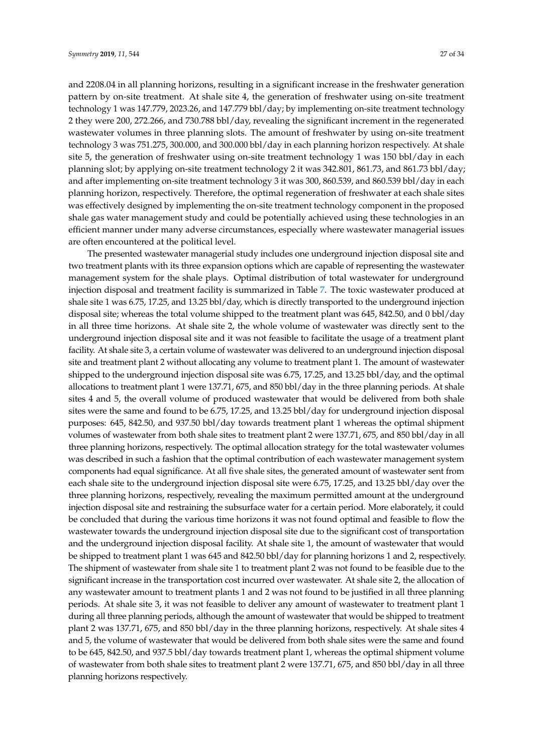and 2208.04 in all planning horizons, resulting in a significant increase in the freshwater generation pattern by on-site treatment. At shale site 4, the generation of freshwater using on-site treatment technology 1 was 147.779, 2023.26, and 147.779 bbl/day; by implementing on-site treatment technology 2 they were 200, 272.266, and 730.788 bbl/day, revealing the significant increment in the regenerated wastewater volumes in three planning slots. The amount of freshwater by using on-site treatment technology 3 was 751.275, 300.000, and 300.000 bbl/day in each planning horizon respectively. At shale site 5, the generation of freshwater using on-site treatment technology 1 was 150 bbl/day in each planning slot; by applying on-site treatment technology 2 it was 342.801, 861.73, and 861.73 bbl/day; and after implementing on-site treatment technology 3 it was 300, 860.539, and 860.539 bbl/day in each planning horizon, respectively. Therefore, the optimal regeneration of freshwater at each shale sites was effectively designed by implementing the on-site treatment technology component in the proposed shale gas water management study and could be potentially achieved using these technologies in an efficient manner under many adverse circumstances, especially where wastewater managerial issues are often encountered at the political level.

The presented wastewater managerial study includes one underground injection disposal site and two treatment plants with its three expansion options which are capable of representing the wastewater management system for the shale plays. Optimal distribution of total wastewater for underground injection disposal and treatment facility is summarized in Table [7.](#page-28-1) The toxic wastewater produced at shale site 1 was 6.75, 17.25, and 13.25 bbl/day, which is directly transported to the underground injection disposal site; whereas the total volume shipped to the treatment plant was 645, 842.50, and 0 bbl/day in all three time horizons. At shale site 2, the whole volume of wastewater was directly sent to the underground injection disposal site and it was not feasible to facilitate the usage of a treatment plant facility. At shale site 3, a certain volume of wastewater was delivered to an underground injection disposal site and treatment plant 2 without allocating any volume to treatment plant 1. The amount of wastewater shipped to the underground injection disposal site was 6.75, 17.25, and 13.25 bbl/day, and the optimal allocations to treatment plant 1 were 137.71, 675, and 850 bbl/day in the three planning periods. At shale sites 4 and 5, the overall volume of produced wastewater that would be delivered from both shale sites were the same and found to be 6.75, 17.25, and 13.25 bbl/day for underground injection disposal purposes: 645, 842.50, and 937.50 bbl/day towards treatment plant 1 whereas the optimal shipment volumes of wastewater from both shale sites to treatment plant 2 were 137.71, 675, and 850 bbl/day in all three planning horizons, respectively. The optimal allocation strategy for the total wastewater volumes was described in such a fashion that the optimal contribution of each wastewater management system components had equal significance. At all five shale sites, the generated amount of wastewater sent from each shale site to the underground injection disposal site were 6.75, 17.25, and 13.25 bbl/day over the three planning horizons, respectively, revealing the maximum permitted amount at the underground injection disposal site and restraining the subsurface water for a certain period. More elaborately, it could be concluded that during the various time horizons it was not found optimal and feasible to flow the wastewater towards the underground injection disposal site due to the significant cost of transportation and the underground injection disposal facility. At shale site 1, the amount of wastewater that would be shipped to treatment plant 1 was 645 and 842.50 bbl/day for planning horizons 1 and 2, respectively. The shipment of wastewater from shale site 1 to treatment plant 2 was not found to be feasible due to the significant increase in the transportation cost incurred over wastewater. At shale site 2, the allocation of any wastewater amount to treatment plants 1 and 2 was not found to be justified in all three planning periods. At shale site 3, it was not feasible to deliver any amount of wastewater to treatment plant 1 during all three planning periods, although the amount of wastewater that would be shipped to treatment plant 2 was 137.71, 675, and 850 bbl/day in the three planning horizons, respectively. At shale sites 4 and 5, the volume of wastewater that would be delivered from both shale sites were the same and found to be 645, 842.50, and 937.5 bbl/day towards treatment plant 1, whereas the optimal shipment volume of wastewater from both shale sites to treatment plant 2 were 137.71, 675, and 850 bbl/day in all three planning horizons respectively.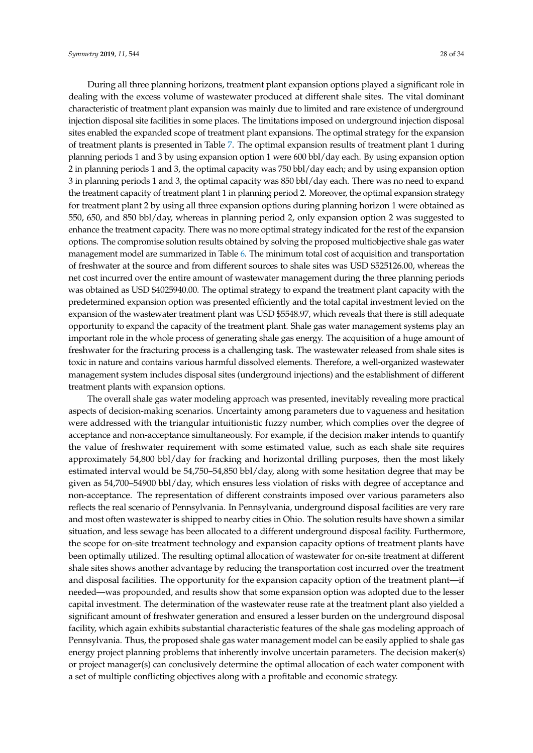During all three planning horizons, treatment plant expansion options played a significant role in dealing with the excess volume of wastewater produced at different shale sites. The vital dominant characteristic of treatment plant expansion was mainly due to limited and rare existence of underground injection disposal site facilities in some places. The limitations imposed on underground injection disposal sites enabled the expanded scope of treatment plant expansions. The optimal strategy for the expansion of treatment plants is presented in Table [7.](#page-28-1) The optimal expansion results of treatment plant 1 during planning periods 1 and 3 by using expansion option 1 were 600 bbl/day each. By using expansion option 2 in planning periods 1 and 3, the optimal capacity was 750 bbl/day each; and by using expansion option 3 in planning periods 1 and 3, the optimal capacity was 850 bbl/day each. There was no need to expand the treatment capacity of treatment plant 1 in planning period 2. Moreover, the optimal expansion strategy for treatment plant 2 by using all three expansion options during planning horizon 1 were obtained as 550, 650, and 850 bbl/day, whereas in planning period 2, only expansion option 2 was suggested to enhance the treatment capacity. There was no more optimal strategy indicated for the rest of the expansion options. The compromise solution results obtained by solving the proposed multiobjective shale gas water management model are summarized in Table [6.](#page-28-0) The minimum total cost of acquisition and transportation of freshwater at the source and from different sources to shale sites was USD \$525126.00, whereas the net cost incurred over the entire amount of wastewater management during the three planning periods was obtained as USD \$4025940.00. The optimal strategy to expand the treatment plant capacity with the predetermined expansion option was presented efficiently and the total capital investment levied on the expansion of the wastewater treatment plant was USD \$5548.97, which reveals that there is still adequate opportunity to expand the capacity of the treatment plant. Shale gas water management systems play an important role in the whole process of generating shale gas energy. The acquisition of a huge amount of freshwater for the fracturing process is a challenging task. The wastewater released from shale sites is toxic in nature and contains various harmful dissolved elements. Therefore, a well-organized wastewater management system includes disposal sites (underground injections) and the establishment of different treatment plants with expansion options.

The overall shale gas water modeling approach was presented, inevitably revealing more practical aspects of decision-making scenarios. Uncertainty among parameters due to vagueness and hesitation were addressed with the triangular intuitionistic fuzzy number, which complies over the degree of acceptance and non-acceptance simultaneously. For example, if the decision maker intends to quantify the value of freshwater requirement with some estimated value, such as each shale site requires approximately 54,800 bbl/day for fracking and horizontal drilling purposes, then the most likely estimated interval would be 54,750–54,850 bbl/day, along with some hesitation degree that may be given as 54,700–54900 bbl/day, which ensures less violation of risks with degree of acceptance and non-acceptance. The representation of different constraints imposed over various parameters also reflects the real scenario of Pennsylvania. In Pennsylvania, underground disposal facilities are very rare and most often wastewater is shipped to nearby cities in Ohio. The solution results have shown a similar situation, and less sewage has been allocated to a different underground disposal facility. Furthermore, the scope for on-site treatment technology and expansion capacity options of treatment plants have been optimally utilized. The resulting optimal allocation of wastewater for on-site treatment at different shale sites shows another advantage by reducing the transportation cost incurred over the treatment and disposal facilities. The opportunity for the expansion capacity option of the treatment plant—if needed—was propounded, and results show that some expansion option was adopted due to the lesser capital investment. The determination of the wastewater reuse rate at the treatment plant also yielded a significant amount of freshwater generation and ensured a lesser burden on the underground disposal facility, which again exhibits substantial characteristic features of the shale gas modeling approach of Pennsylvania. Thus, the proposed shale gas water management model can be easily applied to shale gas energy project planning problems that inherently involve uncertain parameters. The decision maker(s) or project manager(s) can conclusively determine the optimal allocation of each water component with a set of multiple conflicting objectives along with a profitable and economic strategy.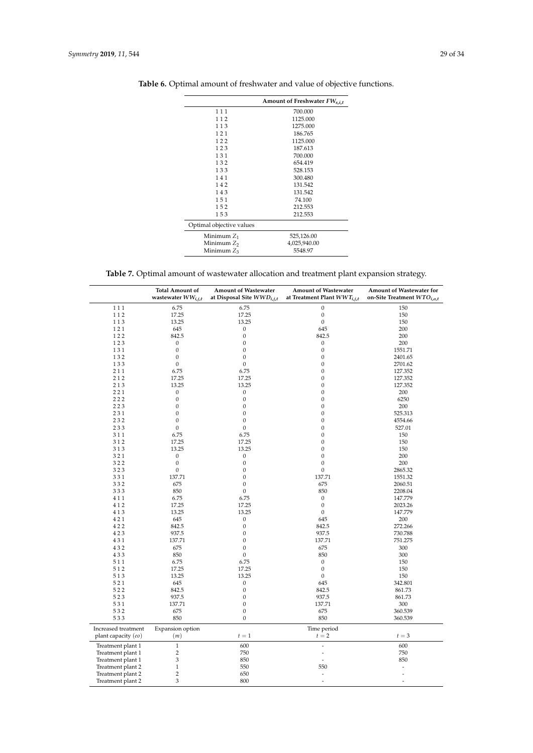|                          | Amount of Freshwater FW <sub>s.i.t</sub> |
|--------------------------|------------------------------------------|
| 111                      | 700.000                                  |
| 112                      | 1125.000                                 |
| 113                      | 1275.000                                 |
| 121                      | 186.765                                  |
| 122                      | 1125.000                                 |
| 123                      | 187.613                                  |
| 131                      | 700.000                                  |
| 132                      | 654.419                                  |
| 133                      | 528.153                                  |
| 141                      | 300.480                                  |
| 142                      | 131.542                                  |
| 143                      | 131.542                                  |
| 151                      | 74.100                                   |
| 152                      | 212.553                                  |
| 153                      | 212.553                                  |
| Optimal objective values |                                          |
| Minimum $Z_1$            | 525,126.00                               |
| Minimum $Z_2$            | 4,025,940.00                             |
| Minimum $Z_3$            | 5548.97                                  |

<span id="page-28-0"></span>**Table 6.** Optimal amount of freshwater and value of objective functions.

**Table 7.** Optimal amount of wastewater allocation and treatment plant expansion strategy.

<span id="page-28-1"></span>

|                     | <b>Total Amount of</b><br>wastewater $WW_{i,j,t}$ | <b>Amount of Wastewater</b><br>at Disposal Site $WWD_{i,j,t}$ | <b>Amount of Wastewater</b><br>at Treatment Plant $WWT_{i,j,t}$ | Amount of Wastewater for<br>on-Site Treatment WTO <sub>i,o,t</sub> |
|---------------------|---------------------------------------------------|---------------------------------------------------------------|-----------------------------------------------------------------|--------------------------------------------------------------------|
| 111                 | 6.75                                              | 6.75                                                          | $\boldsymbol{0}$                                                | 150                                                                |
| 112                 | 17.25                                             | 17.25                                                         | $\boldsymbol{0}$                                                | 150                                                                |
| 113                 | 13.25                                             | 13.25                                                         | $\boldsymbol{0}$                                                | 150                                                                |
| 121                 | 645                                               | 0                                                             | 645                                                             | 200                                                                |
| 122                 | 842.5                                             | $\boldsymbol{0}$                                              | 842.5                                                           | 200                                                                |
| 123                 | 0                                                 | $\boldsymbol{0}$                                              | 0                                                               | 200                                                                |
| 131                 | 0                                                 | 0                                                             | $\boldsymbol{0}$                                                | 1551.71                                                            |
| 132                 | 0                                                 | 0                                                             | $\boldsymbol{0}$                                                | 2401.65                                                            |
| 133                 | 0                                                 | $\boldsymbol{0}$                                              | $\boldsymbol{0}$                                                | 2701.62                                                            |
| 211                 | 6.75                                              | 6.75                                                          | $\boldsymbol{0}$                                                | 127.352                                                            |
| 212                 | 17.25                                             | 17.25                                                         | $\boldsymbol{0}$                                                | 127.352                                                            |
| 213                 | 13.25                                             | 13.25                                                         | $\boldsymbol{0}$                                                | 127.352                                                            |
| 221                 | 0                                                 | $\boldsymbol{0}$                                              | $\boldsymbol{0}$                                                | 200                                                                |
| 222                 | 0                                                 | $\boldsymbol{0}$                                              | $\boldsymbol{0}$                                                | 6250                                                               |
| 223                 | 0                                                 | $\boldsymbol{0}$                                              | $\boldsymbol{0}$                                                | 200                                                                |
| 231                 | $\boldsymbol{0}$                                  | $\boldsymbol{0}$                                              | $\boldsymbol{0}$                                                | 525.313                                                            |
| 232                 | $\boldsymbol{0}$                                  | $\boldsymbol{0}$                                              | $\boldsymbol{0}$                                                | 4554.66                                                            |
| 233                 | $\boldsymbol{0}$                                  | $\boldsymbol{0}$                                              | $\boldsymbol{0}$                                                | 527.01                                                             |
| 311                 | 6.75                                              | 6.75                                                          | $\boldsymbol{0}$                                                | 150                                                                |
| 312                 | 17.25                                             | 17.25                                                         | $\boldsymbol{0}$                                                | 150                                                                |
| 313                 | 13.25                                             | 13.25                                                         | $\boldsymbol{0}$                                                | 150                                                                |
| 321                 | 0                                                 | 0                                                             | $\boldsymbol{0}$                                                | 200                                                                |
| 322                 | $\boldsymbol{0}$                                  | $\boldsymbol{0}$                                              | $\boldsymbol{0}$                                                | 200                                                                |
| 323                 | $\boldsymbol{0}$                                  | $\boldsymbol{0}$                                              | $\boldsymbol{0}$                                                | 2865.32                                                            |
| 331                 | 137.71                                            | $\boldsymbol{0}$                                              | 137.71                                                          | 1551.32                                                            |
| 332                 | 675                                               | $\boldsymbol{0}$                                              | 675                                                             | 2060.51                                                            |
| 333                 | 850                                               | $\boldsymbol{0}$                                              | 850                                                             | 2208.04                                                            |
| 411                 | 6.75                                              | 6.75                                                          | $\mathbf{0}$                                                    | 147.779                                                            |
| 412                 | 17.25                                             | 17.25                                                         | $\boldsymbol{0}$                                                | 2023.26                                                            |
| 413                 | 13.25                                             | 13.25                                                         | $\boldsymbol{0}$                                                | 147.779                                                            |
| 421                 | 645                                               | $\boldsymbol{0}$                                              | 645                                                             | 200                                                                |
| 422                 | 842.5                                             | $\boldsymbol{0}$                                              | 842.5                                                           | 272.266                                                            |
| 423                 | 937.5                                             | $\boldsymbol{0}$                                              | 937.5                                                           | 730.788                                                            |
| 431                 | 137.71                                            | $\boldsymbol{0}$                                              | 137.71                                                          | 751.275                                                            |
| 432                 | 675                                               | $\boldsymbol{0}$                                              | 675                                                             | 300                                                                |
| 433                 | 850                                               | $\boldsymbol{0}$                                              | 850                                                             | 300                                                                |
| 511                 | 6.75                                              | 6.75                                                          | $\boldsymbol{0}$                                                | 150                                                                |
| 512                 | 17.25                                             | 17.25                                                         | $\boldsymbol{0}$                                                | 150                                                                |
| 513                 | 13.25                                             | 13.25                                                         | $\boldsymbol{0}$                                                | 150                                                                |
| 521                 | 645                                               | $\boldsymbol{0}$                                              | 645                                                             | 342.801                                                            |
| 522                 | 842.5                                             | $\boldsymbol{0}$                                              | 842.5                                                           | 861.73                                                             |
| 523                 | 937.5                                             | $\boldsymbol{0}$                                              | 937.5                                                           | 861.73                                                             |
| 531                 | 137.71                                            | $\boldsymbol{0}$                                              | 137.71                                                          | 300                                                                |
| 532                 | 675                                               | $\boldsymbol{0}$                                              | 675                                                             | 360.539                                                            |
| 533                 | 850                                               | $\mathbf{0}$                                                  | 850                                                             | 360.539                                                            |
|                     |                                                   |                                                               |                                                                 |                                                                    |
| Increased treatment | Expansion option                                  |                                                               | Time period                                                     |                                                                    |
| plant capacity (eo) | (m)                                               | $t=1$                                                         | $t=2$                                                           | $t=3$                                                              |
| Treatment plant 1   | $\,1$                                             | 600                                                           | $\overline{\phantom{a}}$                                        | 600                                                                |
| Treatment plant 1   | $\overline{2}$                                    | 750                                                           | $\blacksquare$                                                  | 750                                                                |
| Treatment plant 1   | 3                                                 | 850                                                           | ÷,                                                              | 850                                                                |
| Treatment plant 2   | $\mathbf{1}$                                      | 550                                                           | 550                                                             | ÷,                                                                 |
| Treatment plant 2   | $\overline{2}$                                    | 650                                                           | $\overline{\phantom{a}}$                                        | $\overline{\phantom{a}}$                                           |
| Treatment plant 2   | 3                                                 | 800                                                           | $\overline{a}$                                                  | ÷,                                                                 |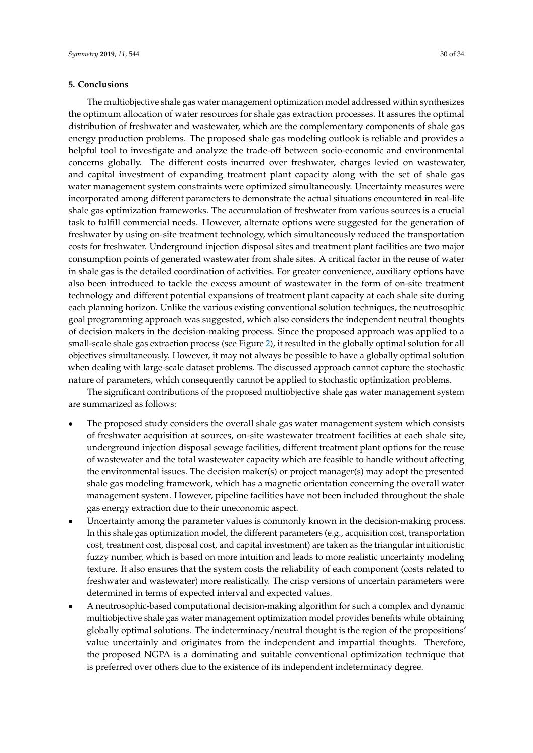## <span id="page-29-0"></span>**5. Conclusions**

The multiobjective shale gas water management optimization model addressed within synthesizes the optimum allocation of water resources for shale gas extraction processes. It assures the optimal distribution of freshwater and wastewater, which are the complementary components of shale gas energy production problems. The proposed shale gas modeling outlook is reliable and provides a helpful tool to investigate and analyze the trade-off between socio-economic and environmental concerns globally. The different costs incurred over freshwater, charges levied on wastewater, and capital investment of expanding treatment plant capacity along with the set of shale gas water management system constraints were optimized simultaneously. Uncertainty measures were incorporated among different parameters to demonstrate the actual situations encountered in real-life shale gas optimization frameworks. The accumulation of freshwater from various sources is a crucial task to fulfill commercial needs. However, alternate options were suggested for the generation of freshwater by using on-site treatment technology, which simultaneously reduced the transportation costs for freshwater. Underground injection disposal sites and treatment plant facilities are two major consumption points of generated wastewater from shale sites. A critical factor in the reuse of water in shale gas is the detailed coordination of activities. For greater convenience, auxiliary options have also been introduced to tackle the excess amount of wastewater in the form of on-site treatment technology and different potential expansions of treatment plant capacity at each shale site during each planning horizon. Unlike the various existing conventional solution techniques, the neutrosophic goal programming approach was suggested, which also considers the independent neutral thoughts of decision makers in the decision-making process. Since the proposed approach was applied to a small-scale shale gas extraction process (see Figure [2\)](#page-11-0), it resulted in the globally optimal solution for all

objectives simultaneously. However, it may not always be possible to have a globally optimal solution when dealing with large-scale dataset problems. The discussed approach cannot capture the stochastic nature of parameters, which consequently cannot be applied to stochastic optimization problems.

The significant contributions of the proposed multiobjective shale gas water management system are summarized as follows:

- The proposed study considers the overall shale gas water management system which consists of freshwater acquisition at sources, on-site wastewater treatment facilities at each shale site, underground injection disposal sewage facilities, different treatment plant options for the reuse of wastewater and the total wastewater capacity which are feasible to handle without affecting the environmental issues. The decision maker(s) or project manager(s) may adopt the presented shale gas modeling framework, which has a magnetic orientation concerning the overall water management system. However, pipeline facilities have not been included throughout the shale gas energy extraction due to their uneconomic aspect.
- Uncertainty among the parameter values is commonly known in the decision-making process. In this shale gas optimization model, the different parameters (e.g., acquisition cost, transportation cost, treatment cost, disposal cost, and capital investment) are taken as the triangular intuitionistic fuzzy number, which is based on more intuition and leads to more realistic uncertainty modeling texture. It also ensures that the system costs the reliability of each component (costs related to freshwater and wastewater) more realistically. The crisp versions of uncertain parameters were determined in terms of expected interval and expected values.
- A neutrosophic-based computational decision-making algorithm for such a complex and dynamic multiobjective shale gas water management optimization model provides benefits while obtaining globally optimal solutions. The indeterminacy/neutral thought is the region of the propositions' value uncertainly and originates from the independent and impartial thoughts. Therefore, the proposed NGPA is a dominating and suitable conventional optimization technique that is preferred over others due to the existence of its independent indeterminacy degree.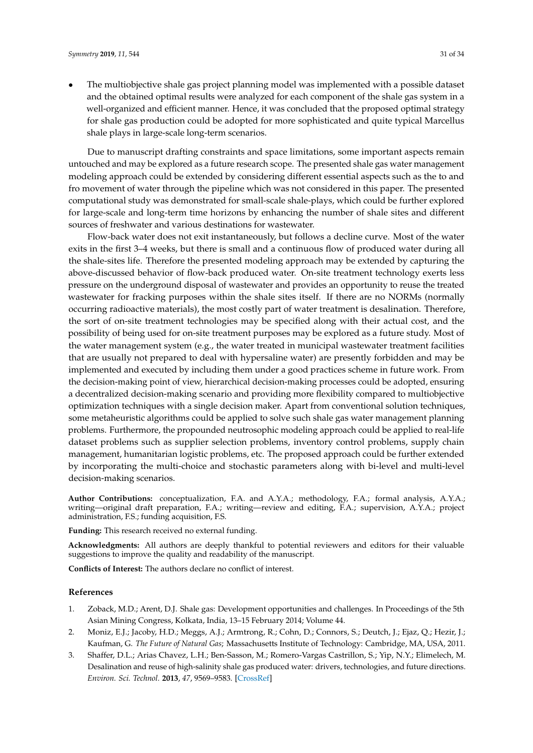• The multiobjective shale gas project planning model was implemented with a possible dataset and the obtained optimal results were analyzed for each component of the shale gas system in a well-organized and efficient manner. Hence, it was concluded that the proposed optimal strategy for shale gas production could be adopted for more sophisticated and quite typical Marcellus shale plays in large-scale long-term scenarios.

Due to manuscript drafting constraints and space limitations, some important aspects remain untouched and may be explored as a future research scope. The presented shale gas water management modeling approach could be extended by considering different essential aspects such as the to and fro movement of water through the pipeline which was not considered in this paper. The presented computational study was demonstrated for small-scale shale-plays, which could be further explored for large-scale and long-term time horizons by enhancing the number of shale sites and different sources of freshwater and various destinations for wastewater.

Flow-back water does not exit instantaneously, but follows a decline curve. Most of the water exits in the first 3–4 weeks, but there is small and a continuous flow of produced water during all the shale-sites life. Therefore the presented modeling approach may be extended by capturing the above-discussed behavior of flow-back produced water. On-site treatment technology exerts less pressure on the underground disposal of wastewater and provides an opportunity to reuse the treated wastewater for fracking purposes within the shale sites itself. If there are no NORMs (normally occurring radioactive materials), the most costly part of water treatment is desalination. Therefore, the sort of on-site treatment technologies may be specified along with their actual cost, and the possibility of being used for on-site treatment purposes may be explored as a future study. Most of the water management system (e.g., the water treated in municipal wastewater treatment facilities that are usually not prepared to deal with hypersaline water) are presently forbidden and may be implemented and executed by including them under a good practices scheme in future work. From the decision-making point of view, hierarchical decision-making processes could be adopted, ensuring a decentralized decision-making scenario and providing more flexibility compared to multiobjective optimization techniques with a single decision maker. Apart from conventional solution techniques, some metaheuristic algorithms could be applied to solve such shale gas water management planning problems. Furthermore, the propounded neutrosophic modeling approach could be applied to real-life dataset problems such as supplier selection problems, inventory control problems, supply chain management, humanitarian logistic problems, etc. The proposed approach could be further extended by incorporating the multi-choice and stochastic parameters along with bi-level and multi-level decision-making scenarios.

**Author Contributions:** conceptualization, F.A. and A.Y.A.; methodology, F.A.; formal analysis, A.Y.A.; writing—original draft preparation, F.A.; writing—review and editing, F.A.; supervision, A.Y.A.; project administration, F.S.; funding acquisition, F.S.

**Funding:** This research received no external funding.

**Acknowledgments:** All authors are deeply thankful to potential reviewers and editors for their valuable suggestions to improve the quality and readability of the manuscript.

**Conflicts of Interest:** The authors declare no conflict of interest.

## **References**

- <span id="page-30-0"></span>1. Zoback, M.D.; Arent, D.J. Shale gas: Development opportunities and challenges. In Proceedings of the 5th Asian Mining Congress, Kolkata, India, 13–15 February 2014; Volume 44.
- 2. Moniz, E.J.; Jacoby, H.D.; Meggs, A.J.; Armtrong, R.; Cohn, D.; Connors, S.; Deutch, J.; Ejaz, Q.; Hezir, J.; Kaufman, G. *The Future of Natural Gas*; Massachusetts Institute of Technology: Cambridge, MA, USA, 2011.
- <span id="page-30-1"></span>3. Shaffer, D.L.; Arias Chavez, L.H.; Ben-Sasson, M.; Romero-Vargas Castrillon, S.; Yip, N.Y.; Elimelech, M. Desalination and reuse of high-salinity shale gas produced water: drivers, technologies, and future directions. *Environ. Sci. Technol.* **2013**, *47*, 9569–9583. [\[CrossRef\]](http://dx.doi.org/10.1021/es401966e)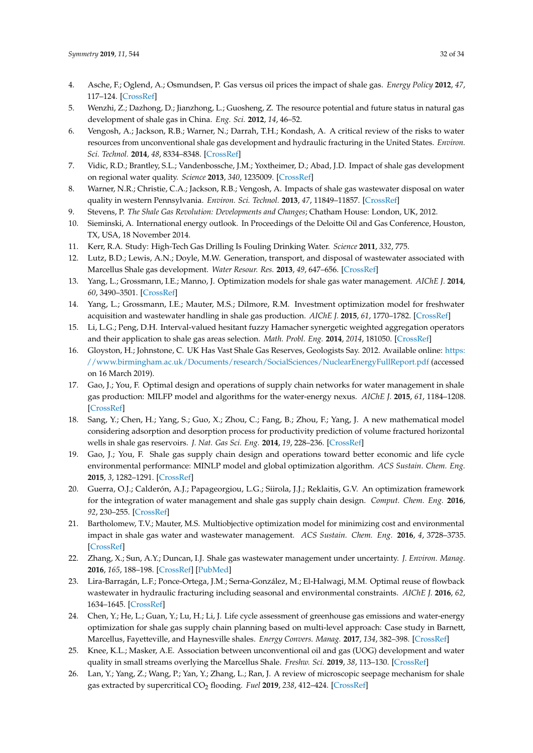- <span id="page-31-0"></span>4. Asche, F.; Oglend, A.; Osmundsen, P. Gas versus oil prices the impact of shale gas. *Energy Policy* **2012**, *47*, 117–124. [\[CrossRef\]](http://dx.doi.org/10.1016/j.enpol.2012.04.033)
- <span id="page-31-1"></span>5. Wenzhi, Z.; Dazhong, D.; Jianzhong, L.; Guosheng, Z. The resource potential and future status in natural gas development of shale gas in China. *Eng. Sci.* **2012**, *14*, 46–52.
- <span id="page-31-2"></span>6. Vengosh, A.; Jackson, R.B.; Warner, N.; Darrah, T.H.; Kondash, A. A critical review of the risks to water resources from unconventional shale gas development and hydraulic fracturing in the United States. *Environ. Sci. Technol.* **2014**, *48*, 8334–8348. [\[CrossRef\]](http://dx.doi.org/10.1021/es405118y)
- 7. Vidic, R.D.; Brantley, S.L.; Vandenbossche, J.M.; Yoxtheimer, D.; Abad, J.D. Impact of shale gas development on regional water quality. *Science* **2013**, *340*, 1235009. [\[CrossRef\]](http://dx.doi.org/10.1126/science.1235009)
- <span id="page-31-3"></span>8. Warner, N.R.; Christie, C.A.; Jackson, R.B.; Vengosh, A. Impacts of shale gas wastewater disposal on water quality in western Pennsylvania. *Environ. Sci. Technol.* **2013**, *47*, 11849–11857. [\[CrossRef\]](http://dx.doi.org/10.1021/es402165b)
- <span id="page-31-4"></span>9. Stevens, P. *The Shale Gas Revolution: Developments and Changes*; Chatham House: London, UK, 2012.
- <span id="page-31-5"></span>10. Sieminski, A. International energy outlook. In Proceedings of the Deloitte Oil and Gas Conference, Houston, TX, USA, 18 November 2014.
- <span id="page-31-6"></span>11. Kerr, R.A. Study: High-Tech Gas Drilling Is Fouling Drinking Water. *Science* **2011**, *332*, 775.
- <span id="page-31-7"></span>12. Lutz, B.D.; Lewis, A.N.; Doyle, M.W. Generation, transport, and disposal of wastewater associated with Marcellus Shale gas development. *Water Resour. Res.* **2013**, *49*, 647–656. [\[CrossRef\]](http://dx.doi.org/10.1002/wrcr.20096)
- <span id="page-31-8"></span>13. Yang, L.; Grossmann, I.E.; Manno, J. Optimization models for shale gas water management. *AIChE J.* **2014**, *60*, 3490–3501. [\[CrossRef\]](http://dx.doi.org/10.1002/aic.14526)
- <span id="page-31-9"></span>14. Yang, L.; Grossmann, I.E.; Mauter, M.S.; Dilmore, R.M. Investment optimization model for freshwater acquisition and wastewater handling in shale gas production. *AIChE J.* **2015**, *61*, 1770–1782. [\[CrossRef\]](http://dx.doi.org/10.1002/aic.14804)
- <span id="page-31-10"></span>15. Li, L.G.; Peng, D.H. Interval-valued hesitant fuzzy Hamacher synergetic weighted aggregation operators and their application to shale gas areas selection. *Math. Probl. Eng.* **2014**, *2014*, 181050. [\[CrossRef\]](http://dx.doi.org/10.1155/2014/181050)
- <span id="page-31-11"></span>16. Gloyston, H.; Johnstone, C. UK Has Vast Shale Gas Reserves, Geologists Say. 2012. Available online: [https:](https://www.birmingham.ac.uk/Documents/research/SocialSciences/NuclearEnergyFullReport.pdf) [//www.birmingham.ac.uk/Documents/research/SocialSciences/NuclearEnergyFullReport.pdf](https://www.birmingham.ac.uk/Documents/research/SocialSciences/NuclearEnergyFullReport.pdf) (accessed on 16 March 2019).
- <span id="page-31-12"></span>17. Gao, J.; You, F. Optimal design and operations of supply chain networks for water management in shale gas production: MILFP model and algorithms for the water-energy nexus. *AIChE J.* **2015**, *61*, 1184–1208. [\[CrossRef\]](http://dx.doi.org/10.1002/aic.14705)
- <span id="page-31-13"></span>18. Sang, Y.; Chen, H.; Yang, S.; Guo, X.; Zhou, C.; Fang, B.; Zhou, F.; Yang, J. A new mathematical model considering adsorption and desorption process for productivity prediction of volume fractured horizontal wells in shale gas reservoirs. *J. Nat. Gas Sci. Eng.* **2014**, *19*, 228–236. [\[CrossRef\]](http://dx.doi.org/10.1016/j.jngse.2014.05.009)
- <span id="page-31-14"></span>19. Gao, J.; You, F. Shale gas supply chain design and operations toward better economic and life cycle environmental performance: MINLP model and global optimization algorithm. *ACS Sustain. Chem. Eng.* **2015**, *3*, 1282–1291. [\[CrossRef\]](http://dx.doi.org/10.1021/acssuschemeng.5b00122)
- <span id="page-31-15"></span>20. Guerra, O.J.; Calderón, A.J.; Papageorgiou, L.G.; Siirola, J.J.; Reklaitis, G.V. An optimization framework for the integration of water management and shale gas supply chain design. *Comput. Chem. Eng.* **2016**, *92*, 230–255. [\[CrossRef\]](http://dx.doi.org/10.1016/j.compchemeng.2016.03.025)
- <span id="page-31-16"></span>21. Bartholomew, T.V.; Mauter, M.S. Multiobjective optimization model for minimizing cost and environmental impact in shale gas water and wastewater management. *ACS Sustain. Chem. Eng.* **2016**, *4*, 3728–3735. [\[CrossRef\]](http://dx.doi.org/10.1021/acssuschemeng.6b00372)
- <span id="page-31-17"></span>22. Zhang, X.; Sun, A.Y.; Duncan, I.J. Shale gas wastewater management under uncertainty. *J. Environ. Manag.* **2016**, *165*, 188–198. [\[CrossRef\]](http://dx.doi.org/10.1016/j.jenvman.2015.09.038) [\[PubMed\]](http://www.ncbi.nlm.nih.gov/pubmed/26433360)
- <span id="page-31-18"></span>23. Lira-Barragán, L.F.; Ponce-Ortega, J.M.; Serna-González, M.; El-Halwagi, M.M. Optimal reuse of flowback wastewater in hydraulic fracturing including seasonal and environmental constraints. *AIChE J.* **2016**, *62*, 1634–1645. [\[CrossRef\]](http://dx.doi.org/10.1002/aic.15167)
- <span id="page-31-19"></span>24. Chen, Y.; He, L.; Guan, Y.; Lu, H.; Li, J. Life cycle assessment of greenhouse gas emissions and water-energy optimization for shale gas supply chain planning based on multi-level approach: Case study in Barnett, Marcellus, Fayetteville, and Haynesville shales. *Energy Convers. Manag.* **2017**, *134*, 382–398. [\[CrossRef\]](http://dx.doi.org/10.1016/j.enconman.2016.12.019)
- <span id="page-31-20"></span>25. Knee, K.L.; Masker, A.E. Association between unconventional oil and gas (UOG) development and water quality in small streams overlying the Marcellus Shale. *Freshw. Sci.* **2019**, *38*, 113–130. [\[CrossRef\]](http://dx.doi.org/10.1086/701675)
- <span id="page-31-21"></span>26. Lan, Y.; Yang, Z.; Wang, P.; Yan, Y.; Zhang, L.; Ran, J. A review of microscopic seepage mechanism for shale gas extracted by supercritical CO<sup>2</sup> flooding. *Fuel* **2019**, *238*, 412–424. [\[CrossRef\]](http://dx.doi.org/10.1016/j.fuel.2018.10.130)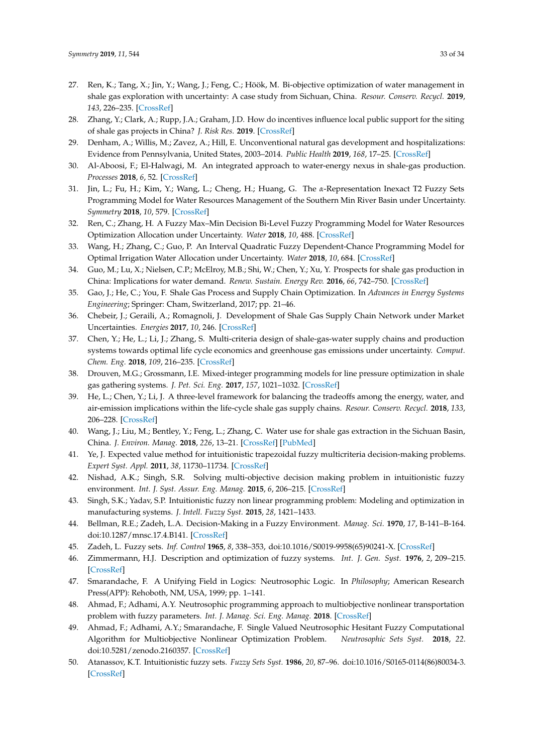- <span id="page-32-0"></span>27. Ren, K.; Tang, X.; Jin, Y.; Wang, J.; Feng, C.; Höök, M. Bi-objective optimization of water management in shale gas exploration with uncertainty: A case study from Sichuan, China. *Resour. Conserv. Recycl.* **2019**, *143*, 226–235. [\[CrossRef\]](http://dx.doi.org/10.1016/j.resconrec.2019.01.003)
- <span id="page-32-1"></span>28. Zhang, Y.; Clark, A.; Rupp, J.A.; Graham, J.D. How do incentives influence local public support for the siting of shale gas projects in China? *J. Risk Res.* **2019**. [\[CrossRef\]](http://dx.doi.org/10.1080/13669877.2019.1569096)
- <span id="page-32-2"></span>29. Denham, A.; Willis, M.; Zavez, A.; Hill, E. Unconventional natural gas development and hospitalizations: Evidence from Pennsylvania, United States, 2003–2014. *Public Health* **2019**, *168*, 17–25. [\[CrossRef\]](http://dx.doi.org/10.1016/j.puhe.2018.11.020)
- <span id="page-32-3"></span>30. Al-Aboosi, F.; El-Halwagi, M. An integrated approach to water-energy nexus in shale-gas production. *Processes* **2018**, *6*, 52. [\[CrossRef\]](http://dx.doi.org/10.3390/pr6050052)
- <span id="page-32-4"></span>31. Jin, L.; Fu, H.; Kim, Y.; Wang, L.; Cheng, H.; Huang, G. The *α*-Representation Inexact T2 Fuzzy Sets Programming Model for Water Resources Management of the Southern Min River Basin under Uncertainty. *Symmetry* **2018**, *10*, 579. [\[CrossRef\]](http://dx.doi.org/10.3390/sym10110579)
- <span id="page-32-5"></span>32. Ren, C.; Zhang, H. A Fuzzy Max–Min Decision Bi-Level Fuzzy Programming Model for Water Resources Optimization Allocation under Uncertainty. *Water* **2018**, *10*, 488. [\[CrossRef\]](http://dx.doi.org/10.3390/w10040488)
- <span id="page-32-6"></span>33. Wang, H.; Zhang, C.; Guo, P. An Interval Quadratic Fuzzy Dependent-Chance Programming Model for Optimal Irrigation Water Allocation under Uncertainty. *Water* **2018**, *10*, 684. [\[CrossRef\]](http://dx.doi.org/10.3390/w10060684)
- <span id="page-32-7"></span>34. Guo, M.; Lu, X.; Nielsen, C.P.; McElroy, M.B.; Shi, W.; Chen, Y.; Xu, Y. Prospects for shale gas production in China: Implications for water demand. *Renew. Sustain. Energy Rev.* **2016**, *66*, 742–750. [\[CrossRef\]](http://dx.doi.org/10.1016/j.rser.2016.08.026)
- <span id="page-32-8"></span>35. Gao, J.; He, C.; You, F. Shale Gas Process and Supply Chain Optimization. In *Advances in Energy Systems Engineering*; Springer: Cham, Switzerland, 2017; pp. 21–46.
- <span id="page-32-9"></span>36. Chebeir, J.; Geraili, A.; Romagnoli, J. Development of Shale Gas Supply Chain Network under Market Uncertainties. *Energies* **2017**, *10*, 246. [\[CrossRef\]](http://dx.doi.org/10.3390/en10020246)
- <span id="page-32-10"></span>37. Chen, Y.; He, L.; Li, J.; Zhang, S. Multi-criteria design of shale-gas-water supply chains and production systems towards optimal life cycle economics and greenhouse gas emissions under uncertainty. *Comput. Chem. Eng.* **2018**, *109*, 216–235. [\[CrossRef\]](http://dx.doi.org/10.1016/j.compchemeng.2017.11.014)
- <span id="page-32-11"></span>38. Drouven, M.G.; Grossmann, I.E. Mixed-integer programming models for line pressure optimization in shale gas gathering systems. *J. Pet. Sci. Eng.* **2017**, *157*, 1021–1032. [\[CrossRef\]](http://dx.doi.org/10.1016/j.petrol.2017.07.026)
- <span id="page-32-12"></span>39. He, L.; Chen, Y.; Li, J. A three-level framework for balancing the tradeoffs among the energy, water, and air-emission implications within the life-cycle shale gas supply chains. *Resour. Conserv. Recycl.* **2018**, *133*, 206–228. [\[CrossRef\]](http://dx.doi.org/10.1016/j.resconrec.2018.02.015)
- <span id="page-32-13"></span>40. Wang, J.; Liu, M.; Bentley, Y.; Feng, L.; Zhang, C. Water use for shale gas extraction in the Sichuan Basin, China. *J. Environ. Manag.* **2018**, *226*, 13–21. [\[CrossRef\]](http://dx.doi.org/10.1016/j.jenvman.2018.08.031) [\[PubMed\]](http://www.ncbi.nlm.nih.gov/pubmed/30103199)
- <span id="page-32-14"></span>41. Ye, J. Expected value method for intuitionistic trapezoidal fuzzy multicriteria decision-making problems. *Expert Syst. Appl.* **2011**, *38*, 11730–11734. [\[CrossRef\]](http://dx.doi.org/10.1016/j.eswa.2011.03.059)
- <span id="page-32-21"></span>42. Nishad, A.K.; Singh, S.R. Solving multi-objective decision making problem in intuitionistic fuzzy environment. *Int. J. Syst. Assur. Eng. Manag.* **2015**, *6*, 206–215. [\[CrossRef\]](http://dx.doi.org/10.1007/s13198-014-0331-5)
- <span id="page-32-15"></span>43. Singh, S.K.; Yadav, S.P. Intuitionistic fuzzy non linear programming problem: Modeling and optimization in manufacturing systems. *J. Intell. Fuzzy Syst.* **2015**, *28*, 1421–1433.
- <span id="page-32-16"></span>44. Bellman, R.E.; Zadeh, L.A. Decision-Making in a Fuzzy Environment. *Manag. Sci.* **1970**, *17*, B-141–B-164. doi[:10.1287/mnsc.17.4.B141.](https://doi.org/10.1287/mnsc.17.4.B141) [\[CrossRef\]](http://dx.doi.org/10.1287/mnsc.17.4.B141)
- 45. Zadeh, L. Fuzzy sets. *Inf. Control* **1965**, *8*, 338–353, doi[:10.1016/S0019-9958\(65\)90241-X.](https://doi.org/10.1016/S0019-9958(65)90241-X) [\[CrossRef\]](http://dx.doi.org/10.1016/S0019-9958(65)90241-X)
- <span id="page-32-17"></span>46. Zimmermann, H.J. Description and optimization of fuzzy systems. *Int. J. Gen. Syst.* **1976**, *2*, 209–215. [\[CrossRef\]](http://dx.doi.org/10.1080/03081077608547470)
- <span id="page-32-18"></span>47. Smarandache, F. A Unifying Field in Logics: Neutrosophic Logic. In *Philosophy*; American Research Press(APP): Rehoboth, NM, USA, 1999; pp. 1–141.
- <span id="page-32-22"></span>48. Ahmad, F.; Adhami, A.Y. Neutrosophic programming approach to multiobjective nonlinear transportation problem with fuzzy parameters. *Int. J. Manag. Sci. Eng. Manag.* **2018**. [\[CrossRef\]](http://dx.doi.org/10.1080/17509653.2018.1545608)
- <span id="page-32-19"></span>49. Ahmad, F.; Adhami, A.Y.; Smarandache, F. Single Valued Neutrosophic Hesitant Fuzzy Computational Algorithm for Multiobjective Nonlinear Optimization Problem. *Neutrosophic Sets Syst.* **2018**, *22*. doi[:10.5281/zenodo.2160357.](https://doi.org/10.5281/zenodo.2160357) [\[CrossRef\]](http://dx.doi.org/10.5281/zenodo.2160357)
- <span id="page-32-20"></span>50. Atanassov, K.T. Intuitionistic fuzzy sets. *Fuzzy Sets Syst.* **1986**, *20*, 87–96. doi[:10.1016/S0165-0114\(86\)80034-3.](https://doi.org/10.1016/S0165-0114(86)80034-3) [\[CrossRef\]](http://dx.doi.org/10.1016/S0165-0114(86)80034-3)